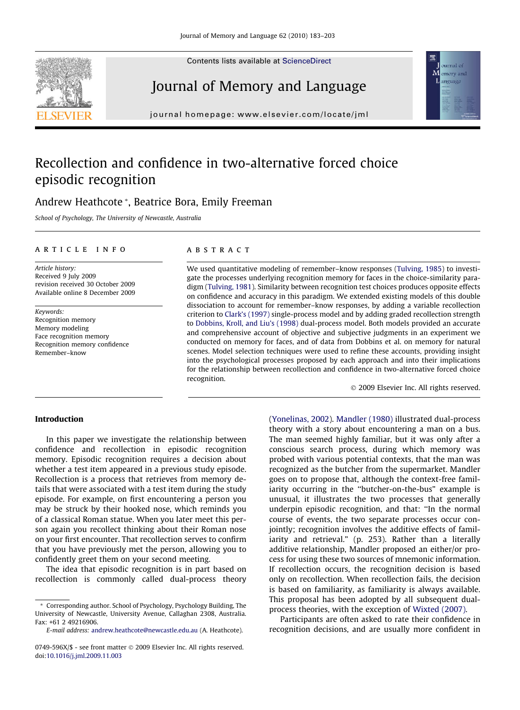Contents lists available at [ScienceDirect](http://www.sciencedirect.com/science/journal/0749596X)





Journal of Memory and Language

journal homepage: www.el [sevier.com/locate/jml](http://www.elsevier.com/locate/jml)

# Recollection and confidence in two-alternative forced choice episodic recognition

# Andrew Heathcote \*, Beatrice Bora, Emily Freeman

School of Psychology, The University of Newcastle, Australia

#### ARTICIE INFO

Article history: Received 9 July 2009 revision received 30 October 2009 Available online 8 December 2009

Keywords: Recognition memory Memory modeling Face recognition memory Recognition memory confidence Remember–know

# **ABSTRACT**

We used quantitative modeling of remember–know responses ([Tulving, 1985\)](#page-20-0) to investigate the processes underlying recognition memory for faces in the choice-similarity paradigm ([Tulving, 1981\)](#page-20-0). Similarity between recognition test choices produces opposite effects on confidence and accuracy in this paradigm. We extended existing models of this double dissociation to account for remember–know responses, by adding a variable recollection criterion to [Clark's \(1997\)](#page-19-0) single-process model and by adding graded recollection strength to [Dobbins, Kroll, and Liu's \(1998\)](#page-20-0) dual-process model. Both models provided an accurate and comprehensive account of objective and subjective judgments in an experiment we conducted on memory for faces, and of data from Dobbins et al. on memory for natural scenes. Model selection techniques were used to refine these accounts, providing insight into the psychological processes proposed by each approach and into their implications for the relationship between recollection and confidence in two-alternative forced choice recognition.

- 2009 Elsevier Inc. All rights reserved.

# Introduction

In this paper we investigate the relationship between confidence and recollection in episodic recognition memory. Episodic recognition requires a decision about whether a test item appeared in a previous study episode. Recollection is a process that retrieves from memory details that were associated with a test item during the study episode. For example, on first encountering a person you may be struck by their hooked nose, which reminds you of a classical Roman statue. When you later meet this person again you recollect thinking about their Roman nose on your first encounter. That recollection serves to confirm that you have previously met the person, allowing you to confidently greet them on your second meeting.

The idea that episodic recognition is in part based on recollection is commonly called dual-process theory

[\(Yonelinas, 2002\)](#page-20-0). [Mandler \(1980\)](#page-20-0) illustrated dual-process theory with a story about encountering a man on a bus. The man seemed highly familiar, but it was only after a conscious search process, during which memory was probed with various potential contexts, that the man was recognized as the butcher from the supermarket. Mandler goes on to propose that, although the context-free familiarity occurring in the ''butcher-on-the-bus" example is unusual, it illustrates the two processes that generally underpin episodic recognition, and that: ''In the normal course of events, the two separate processes occur conjointly; recognition involves the additive effects of familiarity and retrieval." (p. 253). Rather than a literally additive relationship, Mandler proposed an either/or process for using these two sources of mnemonic information. If recollection occurs, the recognition decision is based only on recollection. When recollection fails, the decision is based on familiarity, as familiarity is always available. This proposal has been adopted by all subsequent dualprocess theories, with the exception of [Wixted \(2007\).](#page-20-0)

Participants are often asked to rate their confidence in recognition decisions, and are usually more confident in

<sup>\*</sup> Corresponding author. School of Psychology, Psychology Building, The University of Newcastle, University Avenue, Callaghan 2308, Australia. Fax: +61 2 49216906.

E-mail address: [andrew.heathcote@newcastle.edu.au](mailto:andrew.heathcote@newcastle.edu.au) (A. Heathcote).

<sup>0749-596</sup>X/\$ - see front matter © 2009 Elsevier Inc. All rights reserved. doi:[10.1016/j.jml.2009.11.003](http://dx.doi.org/10.1016/j.jml.2009.11.003)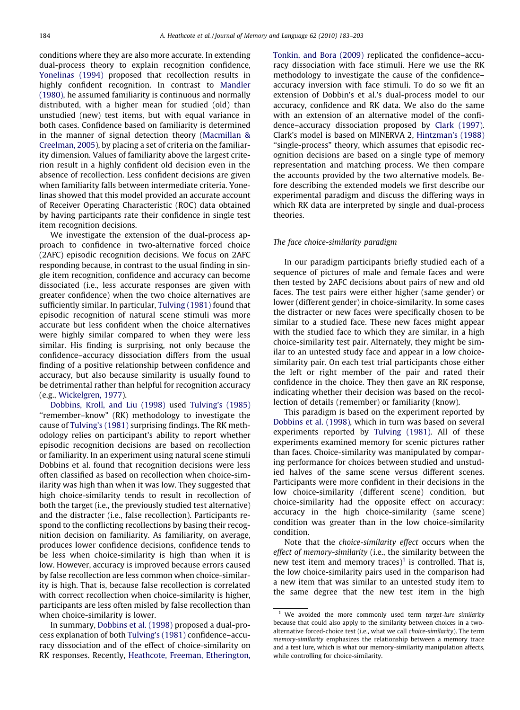conditions where they are also more accurate. In extending dual-process theory to explain recognition confidence, [Yonelinas \(1994\)](#page-20-0) proposed that recollection results in highly confident recognition. In contrast to [Mandler](#page-20-0) [\(1980\)](#page-20-0), he assumed familiarity is continuous and normally distributed, with a higher mean for studied (old) than unstudied (new) test items, but with equal variance in both cases. Confidence based on familiarity is determined in the manner of signal detection theory [\(Macmillan &](#page-20-0) [Creelman, 2005\)](#page-20-0), by placing a set of criteria on the familiarity dimension. Values of familiarity above the largest criterion result in a highly confident old decision even in the absence of recollection. Less confident decisions are given when familiarity falls between intermediate criteria. Yonelinas showed that this model provided an accurate account of Receiver Operating Characteristic (ROC) data obtained by having participants rate their confidence in single test item recognition decisions.

We investigate the extension of the dual-process approach to confidence in two-alternative forced choice (2AFC) episodic recognition decisions. We focus on 2AFC responding because, in contrast to the usual finding in single item recognition, confidence and accuracy can become dissociated (i.e., less accurate responses are given with greater confidence) when the two choice alternatives are sufficiently similar. In particular, [Tulving \(1981\)](#page-20-0) found that episodic recognition of natural scene stimuli was more accurate but less confident when the choice alternatives were highly similar compared to when they were less similar. His finding is surprising, not only because the confidence–accuracy dissociation differs from the usual finding of a positive relationship between confidence and accuracy, but also because similarity is usually found to be detrimental rather than helpful for recognition accuracy (e.g., [Wickelgren, 1977\)](#page-20-0).

[Dobbins, Kroll, and Liu \(1998\)](#page-20-0) used [Tulving's \(1985\)](#page-20-0) ''remember–know" (RK) methodology to investigate the cause of [Tulving's \(1981\)](#page-20-0) surprising findings. The RK methodology relies on participant's ability to report whether episodic recognition decisions are based on recollection or familiarity. In an experiment using natural scene stimuli Dobbins et al. found that recognition decisions were less often classified as based on recollection when choice-similarity was high than when it was low. They suggested that high choice-similarity tends to result in recollection of both the target (i.e., the previously studied test alternative) and the distracter (i.e., false recollection). Participants respond to the conflicting recollections by basing their recognition decision on familiarity. As familiarity, on average, produces lower confidence decisions, confidence tends to be less when choice-similarity is high than when it is low. However, accuracy is improved because errors caused by false recollection are less common when choice-similarity is high. That is, because false recollection is correlated with correct recollection when choice-similarity is higher, participants are less often misled by false recollection than when choice-similarity is lower.

In summary, [Dobbins et al. \(1998\)](#page-20-0) proposed a dual-process explanation of both [Tulving's \(1981\)](#page-20-0) confidence–accuracy dissociation and of the effect of choice-similarity on RK responses. Recently, [Heathcote, Freeman, Etherington,](#page-20-0)

[Tonkin, and Bora \(2009\)](#page-20-0) replicated the confidence–accuracy dissociation with face stimuli. Here we use the RK methodology to investigate the cause of the confidence– accuracy inversion with face stimuli. To do so we fit an extension of Dobbin's et al.'s dual-process model to our accuracy, confidence and RK data. We also do the same with an extension of an alternative model of the confidence–accuracy dissociation proposed by [Clark \(1997\)](#page-19-0). Clark's model is based on MINERVA 2, [Hintzman's \(1988\)](#page-20-0) ''single-process" theory, which assumes that episodic recognition decisions are based on a single type of memory representation and matching process. We then compare the accounts provided by the two alternative models. Before describing the extended models we first describe our experimental paradigm and discuss the differing ways in which RK data are interpreted by single and dual-process theories.

#### The face choice-similarity paradigm

In our paradigm participants briefly studied each of a sequence of pictures of male and female faces and were then tested by 2AFC decisions about pairs of new and old faces. The test pairs were either higher (same gender) or lower (different gender) in choice-similarity. In some cases the distracter or new faces were specifically chosen to be similar to a studied face. These new faces might appear with the studied face to which they are similar, in a high choice-similarity test pair. Alternately, they might be similar to an untested study face and appear in a low choicesimilarity pair. On each test trial participants chose either the left or right member of the pair and rated their confidence in the choice. They then gave an RK response, indicating whether their decision was based on the recollection of details (remember) or familiarity (know).

This paradigm is based on the experiment reported by [Dobbins et al. \(1998\),](#page-20-0) which in turn was based on several experiments reported by [Tulving \(1981\).](#page-20-0) All of these experiments examined memory for scenic pictures rather than faces. Choice-similarity was manipulated by comparing performance for choices between studied and unstudied halves of the same scene versus different scenes. Participants were more confident in their decisions in the low choice-similarity (different scene) condition, but choice-similarity had the opposite effect on accuracy: accuracy in the high choice-similarity (same scene) condition was greater than in the low choice-similarity condition.

Note that the choice-similarity effect occurs when the effect of memory-similarity (i.e., the similarity between the new test item and memory traces)<sup>1</sup> is controlled. That is, the low choice-similarity pairs used in the comparison had a new item that was similar to an untested study item to the same degree that the new test item in the high

 $1$  We avoided the more commonly used term target-lure similarity because that could also apply to the similarity between choices in a twoalternative forced-choice test (i.e., what we call choice-similarity). The term memory-similarity emphasizes the relationship between a memory trace and a test lure, which is what our memory-similarity manipulation affects, while controlling for choice-similarity.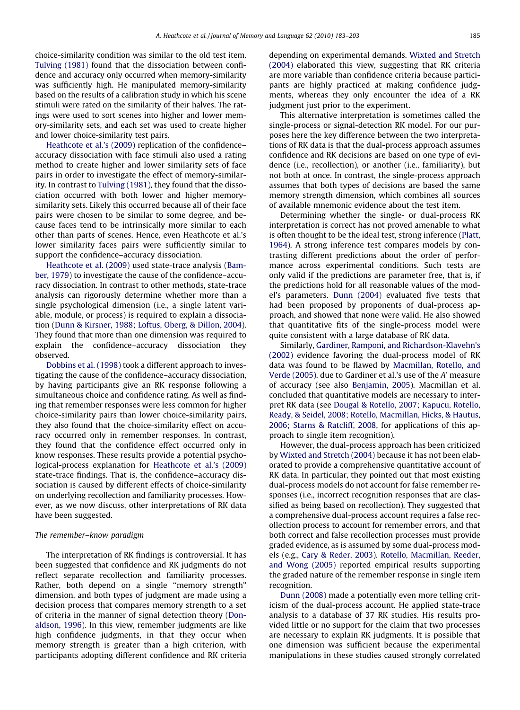choice-similarity condition was similar to the old test item. [Tulving \(1981\)](#page-20-0) found that the dissociation between confidence and accuracy only occurred when memory-similarity was sufficiently high. He manipulated memory-similarity based on the results of a calibration study in which his scene stimuli were rated on the similarity of their halves. The ratings were used to sort scenes into higher and lower memory-similarity sets, and each set was used to create higher and lower choice-similarity test pairs.

[Heathcote et al.'s \(2009\)](#page-20-0) replication of the confidence– accuracy dissociation with face stimuli also used a rating method to create higher and lower similarity sets of face pairs in order to investigate the effect of memory-similarity. In contrast to [Tulving \(1981\),](#page-20-0) they found that the dissociation occurred with both lower and higher memorysimilarity sets. Likely this occurred because all of their face pairs were chosen to be similar to some degree, and because faces tend to be intrinsically more similar to each other than parts of scenes. Hence, even Heathcote et al.'s lower similarity faces pairs were sufficiently similar to support the confidence–accuracy dissociation.

[Heathcote et al. \(2009\)](#page-20-0) used state-trace analysis ([Bam](#page-19-0)[ber, 1979](#page-19-0)) to investigate the cause of the confidence–accuracy dissociation. In contrast to other methods, state-trace analysis can rigorously determine whether more than a single psychological dimension (i.e., a single latent variable, module, or process) is required to explain a dissociation [\(Dunn & Kirsner, 1988; Loftus, Oberg, & Dillon, 2004](#page-20-0)). They found that more than one dimension was required to explain the confidence–accuracy dissociation they observed.

[Dobbins et al. \(1998\)](#page-20-0) took a different approach to investigating the cause of the confidence–accuracy dissociation, by having participants give an RK response following a simultaneous choice and confidence rating. As well as finding that remember responses were less common for higher choice-similarity pairs than lower choice-similarity pairs, they also found that the choice-similarity effect on accuracy occurred only in remember responses. In contrast, they found that the confidence effect occurred only in know responses. These results provide a potential psychological-process explanation for [Heathcote et al.'s \(2009\)](#page-20-0) state-trace findings. That is, the confidence–accuracy dissociation is caused by different effects of choice-similarity on underlying recollection and familiarity processes. However, as we now discuss, other interpretations of RK data have been suggested.

#### The remember–know paradigm

The interpretation of RK findings is controversial. It has been suggested that confidence and RK judgments do not reflect separate recollection and familiarity processes. Rather, both depend on a single "memory strength" dimension, and both types of judgment are made using a decision process that compares memory strength to a set of criteria in the manner of signal detection theory [\(Don](#page-20-0)[aldson, 1996\)](#page-20-0). In this view, remember judgments are like high confidence judgments, in that they occur when memory strength is greater than a high criterion, with participants adopting different confidence and RK criteria

depending on experimental demands. [Wixted and Stretch](#page-20-0) [\(2004\)](#page-20-0) elaborated this view, suggesting that RK criteria are more variable than confidence criteria because participants are highly practiced at making confidence judgments, whereas they only encounter the idea of a RK judgment just prior to the experiment.

This alternative interpretation is sometimes called the single-process or signal-detection RK model. For our purposes here the key difference between the two interpretations of RK data is that the dual-process approach assumes confidence and RK decisions are based on one type of evidence (i.e., recollection), or another (i.e., familiarity), but not both at once. In contrast, the single-process approach assumes that both types of decisions are based the same memory strength dimension, which combines all sources of available mnemonic evidence about the test item.

Determining whether the single- or dual-process RK interpretation is correct has not proved amenable to what is often thought to be the ideal test, strong inference ([Platt,](#page-20-0) [1964\)](#page-20-0). A strong inference test compares models by contrasting different predictions about the order of performance across experimental conditions. Such tests are only valid if the predictions are parameter free, that is, if the predictions hold for all reasonable values of the model's parameters. [Dunn \(2004\)](#page-20-0) evaluated five tests that had been proposed by proponents of dual-process approach, and showed that none were valid. He also showed that quantitative fits of the single-process model were quite consistent with a large database of RK data.

Similarly, [Gardiner, Ramponi, and Richardson-Klavehn's](#page-20-0) [\(2002\)](#page-20-0) evidence favoring the dual-process model of RK data was found to be flawed by [Macmillan, Rotello, and](#page-20-0) [Verde \(2005\)](#page-20-0), due to Gardiner et al.'s use of the  $A'$  measure of accuracy (see also [Benjamin, 2005\)](#page-19-0). Macmillan et al. concluded that quantitative models are necessary to interpret RK data (see [Dougal & Rotello, 2007; Kapucu, Rotello,](#page-20-0) [Ready, & Seidel, 2008; Rotello, Macmillan, Hicks, & Hautus,](#page-20-0) [2006; Starns & Ratcliff, 2008,](#page-20-0) for applications of this approach to single item recognition).

However, the dual-process approach has been criticized by [Wixted and Stretch \(2004\)](#page-20-0) because it has not been elaborated to provide a comprehensive quantitative account of RK data. In particular, they pointed out that most existing dual-process models do not account for false remember responses (i.e., incorrect recognition responses that are classified as being based on recollection). They suggested that a comprehensive dual-process account requires a false recollection process to account for remember errors, and that both correct and false recollection processes must provide graded evidence, as is assumed by some dual-process models (e.g., [Cary & Reder, 2003\)](#page-19-0). [Rotello, Macmillan, Reeder,](#page-20-0) [and Wong \(2005\)](#page-20-0) reported empirical results supporting the graded nature of the remember response in single item recognition.

[Dunn \(2008\)](#page-20-0) made a potentially even more telling criticism of the dual-process account. He applied state-trace analysis to a database of 37 RK studies. His results provided little or no support for the claim that two processes are necessary to explain RK judgments. It is possible that one dimension was sufficient because the experimental manipulations in these studies caused strongly correlated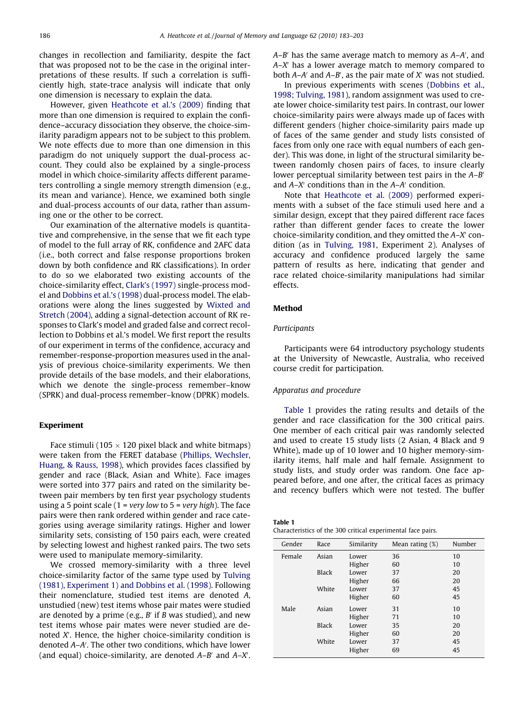changes in recollection and familiarity, despite the fact that was proposed not to be the case in the original interpretations of these results. If such a correlation is sufficiently high, state-trace analysis will indicate that only one dimension is necessary to explain the data.

However, given [Heathcote et al.'s \(2009\)](#page-20-0) finding that more than one dimension is required to explain the confidence–accuracy dissociation they observe, the choice-similarity paradigm appears not to be subject to this problem. We note effects due to more than one dimension in this paradigm do not uniquely support the dual-process account. They could also be explained by a single-process model in which choice-similarity affects different parameters controlling a single memory strength dimension (e.g., its mean and variance). Hence, we examined both single and dual-process accounts of our data, rather than assuming one or the other to be correct.

Our examination of the alternative models is quantitative and comprehensive, in the sense that we fit each type of model to the full array of RK, confidence and 2AFC data (i.e., both correct and false response proportions broken down by both confidence and RK classifications). In order to do so we elaborated two existing accounts of the choice-similarity effect, [Clark's \(1997\)](#page-19-0) single-process model and [Dobbins et al.'s \(1998\)](#page-20-0) dual-process model. The elaborations were along the lines suggested by [Wixted and](#page-20-0) [Stretch \(2004\)](#page-20-0), adding a signal-detection account of RK responses to Clark's model and graded false and correct recollection to Dobbins et al.'s model. We first report the results of our experiment in terms of the confidence, accuracy and remember-response-proportion measures used in the analysis of previous choice-similarity experiments. We then provide details of the base models, and their elaborations, which we denote the single-process remember–know (SPRK) and dual-process remember–know (DPRK) models.

#### Experiment

Face stimuli (105  $\times$  120 pixel black and white bitmaps) were taken from the FERET database ([Phillips, Wechsler,](#page-20-0) [Huang, & Rauss, 1998\)](#page-20-0), which provides faces classified by gender and race (Black, Asian and White). Face images were sorted into 377 pairs and rated on the similarity between pair members by ten first year psychology students using a 5 point scale (1 = very low to  $5$  = very high). The face pairs were then rank ordered within gender and race categories using average similarity ratings. Higher and lower similarity sets, consisting of 150 pairs each, were created by selecting lowest and highest ranked pairs. The two sets were used to manipulate memory-similarity.

We crossed memory-similarity with a three level choice-similarity factor of the same type used by [Tulving](#page-20-0) [\(1981\), Experiment 1\) and Dobbins et al. \(1998\)](#page-20-0). Following their nomenclature, studied test items are denoted A, unstudied (new) test items whose pair mates were studied are denoted by a prime (e.g.,  $B'$  if B was studied), and new test items whose pair mates were never studied are denoted  $X'$ . Hence, the higher choice-similarity condition is denoted A-A'. The other two conditions, which have lower (and equal) choice-similarity, are denoted  $A-B'$  and  $A-X'$ .

 $A$ – $B'$  has the same average match to memory as  $A$ – $A'$ , and  $A-X'$  has a lower average match to memory compared to both  $A-A'$  and  $A-B'$ , as the pair mate of  $X'$  was not studied.

In previous experiments with scenes [\(Dobbins et al.,](#page-20-0) [1998; Tulving, 1981\)](#page-20-0), random assignment was used to create lower choice-similarity test pairs. In contrast, our lower choice-similarity pairs were always made up of faces with different genders (higher choice-similarity pairs made up of faces of the same gender and study lists consisted of faces from only one race with equal numbers of each gender). This was done, in light of the structural similarity between randomly chosen pairs of faces, to insure clearly lower perceptual similarity between test pairs in the  $A-B<sup>o</sup>$ and  $A-X'$  conditions than in the  $A-A'$  condition.

Note that [Heathcote et al. \(2009\)](#page-20-0) performed experiments with a subset of the face stimuli used here and a similar design, except that they paired different race faces rather than different gender faces to create the lower choice-similarity condition, and they omitted the  $A-X$ <sup> $\prime$ </sup> condition (as in [Tulving, 1981,](#page-20-0) Experiment 2). Analyses of accuracy and confidence produced largely the same pattern of results as here, indicating that gender and race related choice-similarity manipulations had similar effects.

#### Method

#### Participants

Participants were 64 introductory psychology students at the University of Newcastle, Australia, who received course credit for participation.

## Apparatus and procedure

Table 1 provides the rating results and details of the gender and race classification for the 300 critical pairs. One member of each critical pair was randomly selected and used to create 15 study lists (2 Asian, 4 Black and 9 White), made up of 10 lower and 10 higher memory-similarity items, half male and half female. Assignment to study lists, and study order was random. One face appeared before, and one after, the critical faces as primacy and recency buffers which were not tested. The buffer

| rabl | π<br>ĸ |  |
|------|--------|--|
|------|--------|--|

| Characteristics of the 300 critical experimental face pairs. |  |  |
|--------------------------------------------------------------|--|--|
|--------------------------------------------------------------|--|--|

| Gender | Race  | Similarity | Mean rating $(\%)$ | Number |
|--------|-------|------------|--------------------|--------|
| Female | Asian | Lower      | 36                 | 10     |
|        |       | Higher     | 60                 | 10     |
|        | Black | Lower      | 37                 | 20     |
|        |       | Higher     | 66                 | 20     |
|        | White | Lower      | 37                 | 45     |
|        |       | Higher     | 60                 | 45     |
| Male   | Asian | Lower      | 31                 | 10     |
|        |       | Higher     | 71                 | 10     |
|        | Black | Lower      | 35                 | 20     |
|        |       | Higher     | 60                 | 20     |
|        | White | Lower      | 37                 | 45     |
|        |       | Higher     | 69                 | 45     |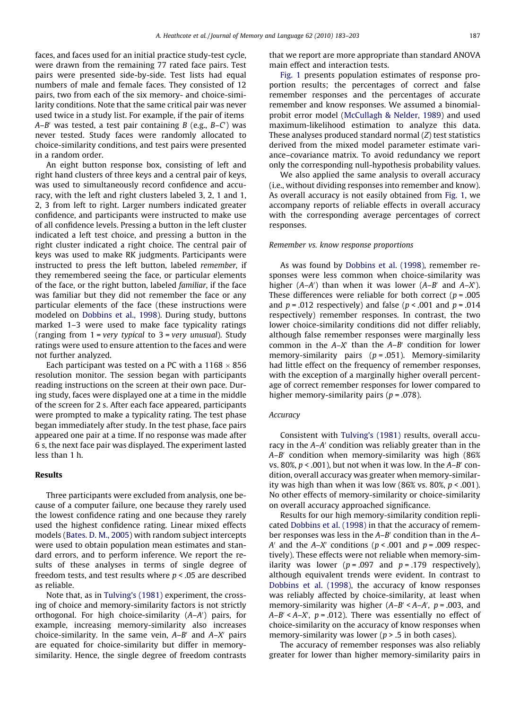faces, and faces used for an initial practice study-test cycle, were drawn from the remaining 77 rated face pairs. Test pairs were presented side-by-side. Test lists had equal numbers of male and female faces. They consisted of 12 pairs, two from each of the six memory- and choice-similarity conditions. Note that the same critical pair was never used twice in a study list. For example, if the pair of items A–B $^{\prime}$  was tested, a test pair containing B (e.g., B–C $^{\prime}$ ) was never tested. Study faces were randomly allocated to choice-similarity conditions, and test pairs were presented in a random order.

An eight button response box, consisting of left and right hand clusters of three keys and a central pair of keys, was used to simultaneously record confidence and accuracy, with the left and right clusters labeled 3, 2, 1 and 1, 2, 3 from left to right. Larger numbers indicated greater confidence, and participants were instructed to make use of all confidence levels. Pressing a button in the left cluster indicated a left test choice, and pressing a button in the right cluster indicated a right choice. The central pair of keys was used to make RK judgments. Participants were instructed to press the left button, labeled remember, if they remembered seeing the face, or particular elements of the face, or the right button, labeled familiar, if the face was familiar but they did not remember the face or any particular elements of the face (these instructions were modeled on [Dobbins et al., 1998\)](#page-20-0). During study, buttons marked 1–3 were used to make face typicality ratings (ranging from  $1 = very$  typical to  $3 = very$  unusual). Study ratings were used to ensure attention to the faces and were not further analyzed.

Each participant was tested on a PC with a 1168  $\times$  856 resolution monitor. The session began with participants reading instructions on the screen at their own pace. During study, faces were displayed one at a time in the middle of the screen for 2 s. After each face appeared, participants were prompted to make a typicality rating. The test phase began immediately after study. In the test phase, face pairs appeared one pair at a time. If no response was made after 6 s, the next face pair was displayed. The experiment lasted less than 1 h.

#### Results

Three participants were excluded from analysis, one because of a computer failure, one because they rarely used the lowest confidence rating and one because they rarely used the highest confidence rating. Linear mixed effects models [\(Bates. D. M., 2005](#page-19-0)) with random subject intercepts were used to obtain population mean estimates and standard errors, and to perform inference. We report the results of these analyses in terms of single degree of freedom tests, and test results where  $p < .05$  are described as reliable.

Note that, as in [Tulving's \(1981\)](#page-20-0) experiment, the crossing of choice and memory-similarity factors is not strictly orthogonal. For high choice-similarity (A-A') pairs, for example, increasing memory-similarity also increases choice-similarity. In the same vein,  $A-B'$  and  $A-X'$  pairs are equated for choice-similarity but differ in memorysimilarity. Hence, the single degree of freedom contrasts that we report are more appropriate than standard ANOVA main effect and interaction tests.

[Fig. 1](#page-5-0) presents population estimates of response proportion results; the percentages of correct and false remember responses and the percentages of accurate remember and know responses. We assumed a binomialprobit error model [\(McCullagh & Nelder, 1989\)](#page-20-0) and used maximum-likelihood estimation to analyze this data. These analyses produced standard normal (Z) test statistics derived from the mixed model parameter estimate variance–covariance matrix. To avoid redundancy we report only the corresponding null-hypothesis probability values.

We also applied the same analysis to overall accuracy (i.e., without dividing responses into remember and know). As overall accuracy is not easily obtained from [Fig. 1,](#page-5-0) we accompany reports of reliable effects in overall accuracy with the corresponding average percentages of correct responses.

#### Remember vs. know response proportions

As was found by [Dobbins et al. \(1998\)](#page-20-0), remember responses were less common when choice-similarity was higher  $(A-A')$  than when it was lower  $(A-B'$  and  $A-X'$ ). These differences were reliable for both correct ( $p = .005$ ) and  $p = .012$  respectively) and false ( $p < .001$  and  $p = .014$ respectively) remember responses. In contrast, the two lower choice-similarity conditions did not differ reliably, although false remember responses were marginally less common in the  $A-X'$  than the  $A-B'$  condition for lower memory-similarity pairs  $(p = .051)$ . Memory-similarity had little effect on the frequency of remember responses, with the exception of a marginally higher overall percentage of correct remember responses for lower compared to higher memory-similarity pairs ( $p = .078$ ).

#### Accuracy

Consistent with [Tulving's \(1981\)](#page-20-0) results, overall accuracy in the  $A-A'$  condition was reliably greater than in the  $A-B'$  condition when memory-similarity was high (86%) vs. 80%,  $p < .001$ ), but not when it was low. In the  $A-B'$  condition, overall accuracy was greater when memory-similarity was high than when it was low (86% vs. 80%,  $p < .001$ ). No other effects of memory-similarity or choice-similarity on overall accuracy approached significance.

Results for our high memory-similarity condition replicated [Dobbins et al. \(1998\)](#page-20-0) in that the accuracy of remember responses was less in the  $A-B'$  condition than in the  $A-$ A' and the A–X' conditions ( $p < .001$  and  $p = .009$  respectively). These effects were not reliable when memory-similarity was lower ( $p = .097$  and  $p = .179$  respectively), although equivalent trends were evident. In contrast to [Dobbins et al. \(1998\),](#page-20-0) the accuracy of know responses was reliably affected by choice-similarity, at least when memory-similarity was higher  $(A-B' < A-A', p = .003,$  and  $A-B' < A-X'$ ,  $p = .012$ ). There was essentially no effect of choice-similarity on the accuracy of know responses when memory-similarity was lower ( $p > .5$  in both cases).

The accuracy of remember responses was also reliably greater for lower than higher memory-similarity pairs in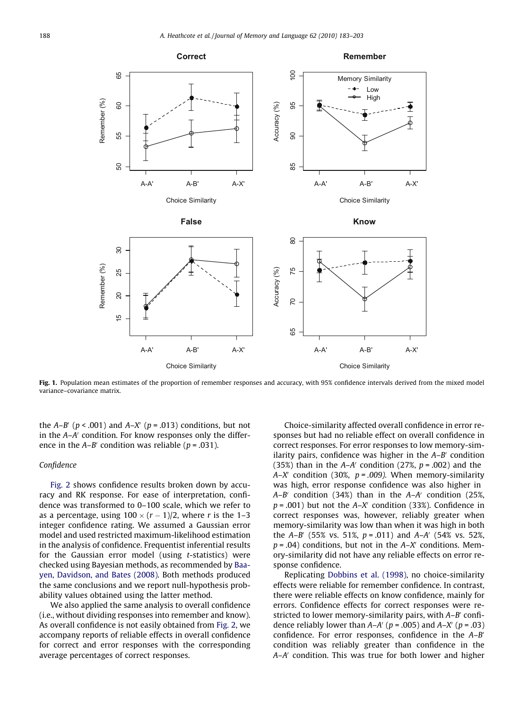<span id="page-5-0"></span>

Fig. 1. Population mean estimates of the proportion of remember responses and accuracy, with 95% confidence intervals derived from the mixed model variance–covariance matrix.

the  $A-B'$  ( $p < .001$ ) and  $A-X'$  ( $p = .013$ ) conditions, but not in the  $A-A'$  condition. For know responses only the difference in the  $A-B'$  condition was reliable ( $p = .031$ ).

#### Confidence

[Fig. 2](#page-6-0) shows confidence results broken down by accuracy and RK response. For ease of interpretation, confidence was transformed to 0–100 scale, which we refer to as a percentage, using 100  $\times$  (r – 1)/2, where r is the 1–3 integer confidence rating. We assumed a Gaussian error model and used restricted maximum-likelihood estimation in the analysis of confidence. Frequentist inferential results for the Gaussian error model (using *t*-statistics) were checked using Bayesian methods, as recommended by [Baa](#page-19-0)[yen, Davidson, and Bates \(2008\)](#page-19-0). Both methods produced the same conclusions and we report null-hypothesis probability values obtained using the latter method.

We also applied the same analysis to overall confidence (i.e., without dividing responses into remember and know). As overall confidence is not easily obtained from [Fig. 2,](#page-6-0) we accompany reports of reliable effects in overall confidence for correct and error responses with the corresponding average percentages of correct responses.

Choice-similarity affected overall confidence in error responses but had no reliable effect on overall confidence in correct responses. For error responses to low memory-similarity pairs, confidence was higher in the  $A-B'$  condition (35%) than in the  $A-A'$  condition (27%,  $p = .002$ ) and the A–X<sup> $\prime$ </sup> condition (30%,  $p = .009$ ). When memory-similarity was high, error response confidence was also higher in  $A-B'$  condition (34%) than in the  $A-A'$  condition (25%,  $p = .001$ ) but not the A–X' condition (33%). Confidence in correct responses was, however, reliably greater when memory-similarity was low than when it was high in both the  $A-B'$  (55% vs. 51%,  $p = .011$ ) and  $A-A'$  (54% vs. 52%,  $p = .04$ ) conditions, but not in the  $A-X<sup>n</sup>$  conditions. Memory-similarity did not have any reliable effects on error response confidence.

Replicating [Dobbins et al. \(1998\),](#page-20-0) no choice-similarity effects were reliable for remember confidence. In contrast, there were reliable effects on know confidence, mainly for errors. Confidence effects for correct responses were restricted to lower memory-similarity pairs, with  $A-B'$  confidence reliably lower than  $A-A'(p=.005)$  and  $A-X'(p=.03)$ confidence. For error responses, confidence in the  $A-B$ <sup>'</sup> condition was reliably greater than confidence in the  $A-A'$  condition. This was true for both lower and higher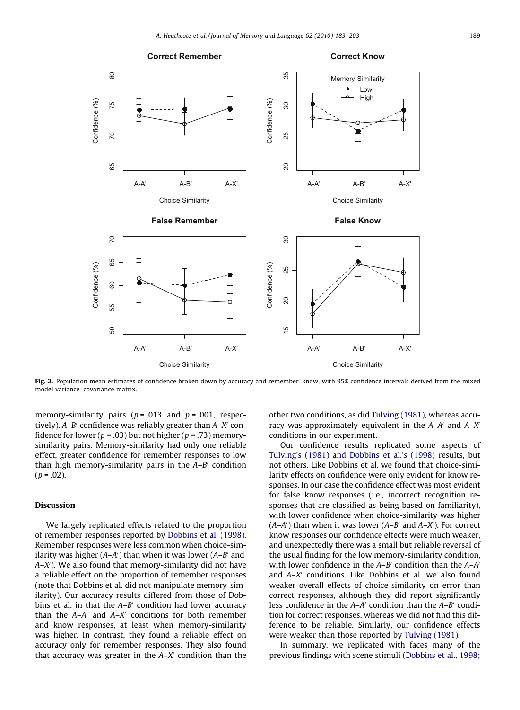<span id="page-6-0"></span>

Fig. 2. Population mean estimates of confidence broken down by accuracy and remember-know, with 95% confidence intervals derived from the mixed model variance–covariance matrix.

memory-similarity pairs ( $p = .013$  and  $p = .001$ , respectively).  $A-B'$  confidence was reliably greater than  $A-X'$  confidence for lower ( $p = .03$ ) but not higher ( $p = .73$ ) memorysimilarity pairs. Memory-similarity had only one reliable effect, greater confidence for remember responses to low than high memory-similarity pairs in the  $A-B'$  condition  $(p=.02)$ .

# Discussion

We largely replicated effects related to the proportion of remember responses reported by [Dobbins et al. \(1998\)](#page-20-0). Remember responses were less common when choice-similarity was higher  $(A-A')$  than when it was lower  $(A-B'$  and  $A$ – $X'$ ). We also found that memory-similarity did not have a reliable effect on the proportion of remember responses (note that Dobbins et al. did not manipulate memory-similarity). Our accuracy results differed from those of Dobbins et al. in that the  $A-B'$  condition had lower accuracy than the  $A-A'$  and  $A-X'$  conditions for both remember and know responses, at least when memory-similarity was higher. In contrast, they found a reliable effect on accuracy only for remember responses. They also found that accuracy was greater in the  $A-X<sup>1</sup>$  condition than the other two conditions, as did [Tulving \(1981\),](#page-20-0) whereas accuracy was approximately equivalent in the  $A-A'$  and  $A-X'$ conditions in our experiment.

Our confidence results replicated some aspects of [Tulving's \(1981\) and Dobbins et al.'s \(1998\)](#page-20-0) results, but not others. Like Dobbins et al. we found that choice-similarity effects on confidence were only evident for know responses. In our case the confidence effect was most evident for false know responses (i.e., incorrect recognition responses that are classified as being based on familiarity), with lower confidence when choice-similarity was higher  $(A-A')$  than when it was lower  $(A-B'$  and  $A-X'$ ). For correct know responses our confidence effects were much weaker, and unexpectedly there was a small but reliable reversal of the usual finding for the low memory-similarity condition, with lower confidence in the  $A-B'$  condition than the  $A-A'$ and A–X<sup>'</sup> conditions. Like Dobbins et al. we also found weaker overall effects of choice-similarity on error than correct responses, although they did report significantly less confidence in the  $A-A<sub>1</sub>$  condition than the  $A-B<sub>1</sub>$  condition for correct responses, whereas we did not find this difference to be reliable. Similarly, our confidence effects were weaker than those reported by [Tulving \(1981\).](#page-20-0)

In summary, we replicated with faces many of the previous findings with scene stimuli ([Dobbins et al., 1998;](#page-20-0)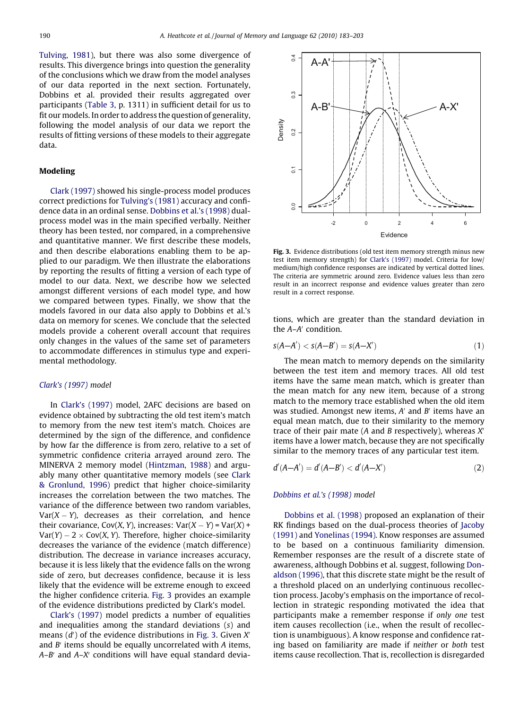<span id="page-7-0"></span>[Tulving, 1981\)](#page-20-0), but there was also some divergence of results. This divergence brings into question the generality of the conclusions which we draw from the model analyses of our data reported in the next section. Fortunately, Dobbins et al. provided their results aggregated over participants ([Table 3,](#page-13-0) p. 1311) in sufficient detail for us to fit our models. In order to address the question of generality, following the model analysis of our data we report the results of fitting versions of these models to their aggregate data.

#### Modeling

[Clark \(1997\)](#page-19-0) showed his single-process model produces correct predictions for [Tulving's \(1981\)](#page-20-0) accuracy and confidence data in an ordinal sense. [Dobbins et al.'s \(1998\)](#page-20-0) dualprocess model was in the main specified verbally. Neither theory has been tested, nor compared, in a comprehensive and quantitative manner. We first describe these models, and then describe elaborations enabling them to be applied to our paradigm. We then illustrate the elaborations by reporting the results of fitting a version of each type of model to our data. Next, we describe how we selected amongst different versions of each model type, and how we compared between types. Finally, we show that the models favored in our data also apply to Dobbins et al.'s data on memory for scenes. We conclude that the selected models provide a coherent overall account that requires only changes in the values of the same set of parameters to accommodate differences in stimulus type and experimental methodology.

#### [Clark's \(1997\)](#page-19-0) model

In [Clark's \(1997\)](#page-19-0) model, 2AFC decisions are based on evidence obtained by subtracting the old test item's match to memory from the new test item's match. Choices are determined by the sign of the difference, and confidence by how far the difference is from zero, relative to a set of symmetric confidence criteria arrayed around zero. The MINERVA 2 memory model ([Hintzman, 1988\)](#page-20-0) and arguably many other quantitative memory models (see [Clark](#page-20-0) [& Gronlund, 1996](#page-20-0)) predict that higher choice-similarity increases the correlation between the two matches. The variance of the difference between two random variables,  $Var(X - Y)$ , decreases as their correlation, and hence their covariance,  $Cov(X, Y)$ , increases:  $Var(X - Y) = Var(X) +$  $Var(Y) - 2 \times Cov(X, Y)$ . Therefore, higher choice-similarity decreases the variance of the evidence (match difference) distribution. The decrease in variance increases accuracy, because it is less likely that the evidence falls on the wrong side of zero, but decreases confidence, because it is less likely that the evidence will be extreme enough to exceed the higher confidence criteria. Fig. 3 provides an example of the evidence distributions predicted by Clark's model.

[Clark's \(1997\)](#page-19-0) model predicts a number of equalities and inequalities among the standard deviations (s) and means  $(d')$  of the evidence distributions in Fig. 3. Given  $X'$ and  $B'$  items should be equally uncorrelated with  $A$  items,  $A-B'$  and  $A-X'$  conditions will have equal standard devia-



Fig. 3. Evidence distributions (old test item memory strength minus new test item memory strength) for [Clark's \(1997\)](#page-19-0) model. Criteria for low/ medium/high confidence responses are indicated by vertical dotted lines. The criteria are symmetric around zero. Evidence values less than zero result in an incorrect response and evidence values greater than zero result in a correct response.

tions, which are greater than the standard deviation in the  $A-A'$  condition.

$$
s(A-A') < s(A-B') = s(A-X') \tag{1}
$$

The mean match to memory depends on the similarity between the test item and memory traces. All old test items have the same mean match, which is greater than the mean match for any new item, because of a strong match to the memory trace established when the old item was studied. Amongst new items,  $A'$  and  $B'$  items have an equal mean match, due to their similarity to the memory trace of their pair mate (A and B respectively), whereas  $X'$ items have a lower match, because they are not specifically similar to the memory traces of any particular test item.

$$
d'(A-A') = d'(A-B') < d'(A-X')
$$
 (2)

#### [Dobbins et al.'s \(1998\)](#page-20-0) model

[Dobbins et al. \(1998\)](#page-20-0) proposed an explanation of their RK findings based on the dual-process theories of [Jacoby](#page-20-0) [\(1991\)](#page-20-0) and [Yonelinas \(1994\)](#page-20-0). Know responses are assumed to be based on a continuous familiarity dimension. Remember responses are the result of a discrete state of awareness, although Dobbins et al. suggest, following [Don](#page-20-0)[aldson \(1996\)](#page-20-0), that this discrete state might be the result of a threshold placed on an underlying continuous recollection process. Jacoby's emphasis on the importance of recollection in strategic responding motivated the idea that participants make a remember response if only one test item causes recollection (i.e., when the result of recollection is unambiguous). A know response and confidence rating based on familiarity are made if neither or both test items cause recollection. That is, recollection is disregarded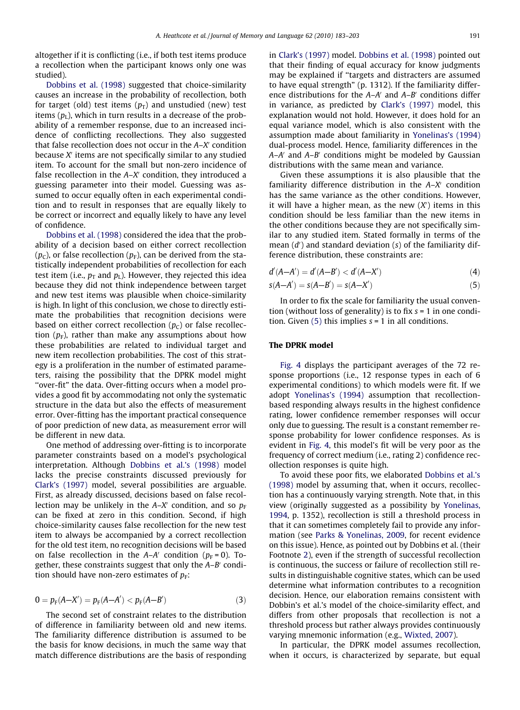<span id="page-8-0"></span>altogether if it is conflicting (i.e., if both test items produce a recollection when the participant knows only one was studied).

[Dobbins et al. \(1998\)](#page-20-0) suggested that choice-similarity causes an increase in the probability of recollection, both for target (old) test items  $(p_T)$  and unstudied (new) test items  $(p_1)$ , which in turn results in a decrease of the probability of a remember response, due to an increased incidence of conflicting recollections. They also suggested that false recollection does not occur in the  $A-X'$  condition because  $X<sup>1</sup>$  items are not specifically similar to any studied item. To account for the small but non-zero incidence of false recollection in the  $A-X'$  condition, they introduced a guessing parameter into their model. Guessing was assumed to occur equally often in each experimental condition and to result in responses that are equally likely to be correct or incorrect and equally likely to have any level of confidence.

[Dobbins et al. \(1998\)](#page-20-0) considered the idea that the probability of a decision based on either correct recollection  $(p<sub>C</sub>)$ , or false recollection  $(p<sub>F</sub>)$ , can be derived from the statistically independent probabilities of recollection for each test item (i.e.,  $p_T$  and  $p_L$ ). However, they rejected this idea because they did not think independence between target and new test items was plausible when choice-similarity is high. In light of this conclusion, we chose to directly estimate the probabilities that recognition decisions were based on either correct recollection  $(p_C)$  or false recollection  $(p_F)$ , rather than make any assumptions about how these probabilities are related to individual target and new item recollection probabilities. The cost of this strategy is a proliferation in the number of estimated parameters, raising the possibility that the DPRK model might ''over-fit" the data. Over-fitting occurs when a model provides a good fit by accommodating not only the systematic structure in the data but also the effects of measurement error. Over-fitting has the important practical consequence of poor prediction of new data, as measurement error will be different in new data.

One method of addressing over-fitting is to incorporate parameter constraints based on a model's psychological interpretation. Although [Dobbins et al.'s \(1998\)](#page-20-0) model lacks the precise constraints discussed previously for [Clark's \(1997\)](#page-19-0) model, several possibilities are arguable. First, as already discussed, decisions based on false recollection may be unlikely in the  $A-X<sup>r</sup>$  condition, and so  $p<sub>F</sub>$ can be fixed at zero in this condition. Second, if high choice-similarity causes false recollection for the new test item to always be accompanied by a correct recollection for the old test item, no recognition decisions will be based on false recollection in the A–A' condition ( $p_F = 0$ ). Together, these constraints suggest that only the  $A-B'$  condition should have non-zero estimates of  $p_F$ :

$$
0 = p_{F}(A - X') = p_{F}(A - A') < p_{F}(A - B') \tag{3}
$$

The second set of constraint relates to the distribution of difference in familiarity between old and new items. The familiarity difference distribution is assumed to be the basis for know decisions, in much the same way that match difference distributions are the basis of responding in [Clark's \(1997\)](#page-19-0) model. [Dobbins et al. \(1998\)](#page-20-0) pointed out that their finding of equal accuracy for know judgments may be explained if ''targets and distracters are assumed to have equal strength" (p. 1312). If the familiarity difference distributions for the  $A-A'$  and  $A-B'$  conditions differ in variance, as predicted by [Clark's \(1997\)](#page-19-0) model, this explanation would not hold. However, it does hold for an equal variance model, which is also consistent with the assumption made about familiarity in [Yonelinas's \(1994\)](#page-20-0) dual-process model. Hence, familiarity differences in the  $A-A'$  and  $A-B'$  conditions might be modeled by Gaussian distributions with the same mean and variance.

Given these assumptions it is also plausible that the familiarity difference distribution in the  $A-X'$  condition has the same variance as the other conditions. However, it will have a higher mean, as the new  $(X')$  items in this condition should be less familiar than the new items in the other conditions because they are not specifically similar to any studied item. Stated formally in terms of the mean  $(d')$  and standard deviation  $(s)$  of the familiarity difference distribution, these constraints are:

$$
d'(A-A') = d'(A-B') < d'(A-X')
$$
 (4)

$$
s(A-A') = s(A-B') = s(A-X')
$$
 (5)

In order to fix the scale for familiarity the usual convention (without loss of generality) is to fix  $s = 1$  in one condition. Given  $(5)$  this implies  $s = 1$  in all conditions.

### The DPRK model

[Fig. 4](#page-9-0) displays the participant averages of the 72 response proportions (i.e., 12 response types in each of 6 experimental conditions) to which models were fit. If we adopt [Yonelinas's \(1994\)](#page-20-0) assumption that recollectionbased responding always results in the highest confidence rating, lower confidence remember responses will occur only due to guessing. The result is a constant remember response probability for lower confidence responses. As is evident in [Fig. 4,](#page-9-0) this model's fit will be very poor as the frequency of correct medium (i.e., rating 2) confidence recollection responses is quite high.

To avoid these poor fits, we elaborated [Dobbins et al.'s](#page-20-0) [\(1998\)](#page-20-0) model by assuming that, when it occurs, recollection has a continuously varying strength. Note that, in this view (originally suggested as a possibility by [Yonelinas,](#page-20-0) [1994,](#page-20-0) p. 1352), recollection is still a threshold process in that it can sometimes completely fail to provide any information (see [Parks & Yonelinas, 2009,](#page-20-0) for recent evidence on this issue). Hence, as pointed out by Dobbins et al. (their Footnote [2\)](#page-12-0), even if the strength of successful recollection is continuous, the success or failure of recollection still results in distinguishable cognitive states, which can be used determine what information contributes to a recognition decision. Hence, our elaboration remains consistent with Dobbin's et al.'s model of the choice-similarity effect, and differs from other proposals that recollection is not a threshold process but rather always provides continuously varying mnemonic information (e.g., [Wixted, 2007\)](#page-20-0).

In particular, the DPRK model assumes recollection, when it occurs, is characterized by separate, but equal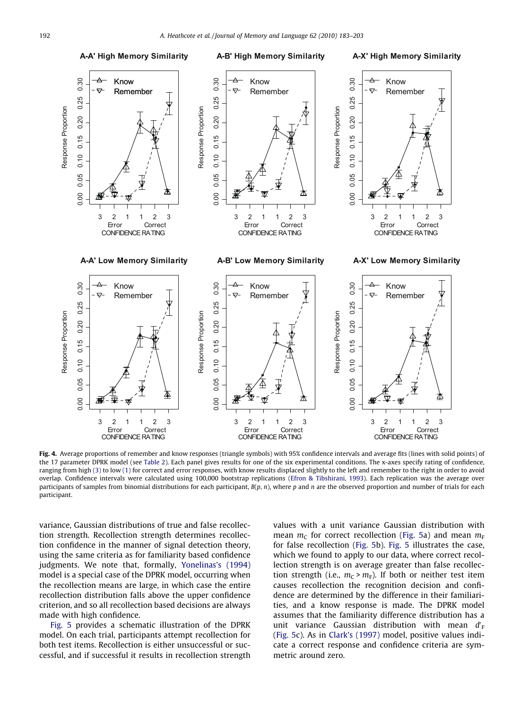<span id="page-9-0"></span>

Fig. 4. Average proportions of remember and know responses (triangle symbols) with 95% confidence intervals and average fits (lines with solid points) of the 17 parameter DPRK model (see [Table 2](#page-11-0)). Each panel gives results for one of the six experimental conditions. The x-axes specify rating of confidence, ranging from high [\(3\)](#page-8-0) to low [\(1\)](#page-7-0) for correct and error responses, with know results displaced slightly to the left and remember to the right in order to avoid overlap. Confidence intervals were calculated using 100,000 bootstrap replications [\(Efron & Tibshirani, 1993\)](#page-20-0). Each replication was the average over participants of samples from binomial distributions for each participant,  $B(p, n)$ , where p and n are the observed proportion and number of trials for each participant.

variance, Gaussian distributions of true and false recollection strength. Recollection strength determines recollection confidence in the manner of signal detection theory, using the same criteria as for familiarity based confidence judgments. We note that, formally, [Yonelinas's \(1994\)](#page-20-0) model is a special case of the DPRK model, occurring when the recollection means are large, in which case the entire recollection distribution falls above the upper confidence criterion, and so all recollection based decisions are always made with high confidence.

[Fig. 5](#page-10-0) provides a schematic illustration of the DPRK model. On each trial, participants attempt recollection for both test items. Recollection is either unsuccessful or successful, and if successful it results in recollection strength

values with a unit variance Gaussian distribution with mean  $m_c$  for correct recollection ([Fig. 5](#page-10-0)a) and mean  $m_F$ for false recollection [\(Fig. 5b](#page-10-0)). [Fig. 5](#page-10-0) illustrates the case, which we found to apply to our data, where correct recollection strength is on average greater than false recollection strength (i.e.,  $m_C > m_F$ ). If both or neither test item causes recollection the recognition decision and confidence are determined by the difference in their familiarities, and a know response is made. The DPRK model assumes that the familiarity difference distribution has a unit variance Gaussian distribution with mean  $d'_F$ [\(Fig. 5](#page-10-0)c). As in [Clark's \(1997\)](#page-19-0) model, positive values indicate a correct response and confidence criteria are symmetric around zero.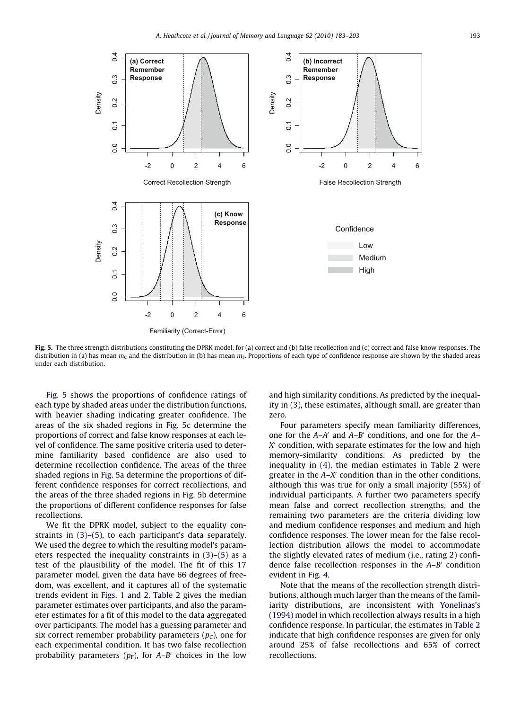<span id="page-10-0"></span>

Fig. 5. The three strength distributions constituting the DPRK model, for (a) correct and (b) false recollection and (c) correct and false know responses. The distribution in (a) has mean  $m_c$  and the distribution in (b) has mean  $m_F$ . Proportions of each type of confidence response are shown by the shaded areas under each distribution.

Fig. 5 shows the proportions of confidence ratings of each type by shaded areas under the distribution functions, with heavier shading indicating greater confidence. The areas of the six shaded regions in Fig. 5c determine the proportions of correct and false know responses at each level of confidence. The same positive criteria used to determine familiarity based confidence are also used to determine recollection confidence. The areas of the three shaded regions in Fig. 5a determine the proportions of different confidence responses for correct recollections, and the areas of the three shaded regions in Fig. 5b determine the proportions of different confidence responses for false recollections.

We fit the DPRK model, subject to the equality constraints in [\(3\)–\(5\),](#page-8-0) to each participant's data separately. We used the degree to which the resulting model's parameters respected the inequality constraints in  $(3)-(5)$  as a test of the plausibility of the model. The fit of this 17 parameter model, given the data have 66 degrees of freedom, was excellent, and it captures all of the systematic trends evident in [Figs. 1 and 2.](#page-5-0) [Table 2](#page-11-0) gives the median parameter estimates over participants, and also the parameter estimates for a fit of this model to the data aggregated over participants. The model has a guessing parameter and six correct remember probability parameters  $(p<sub>C</sub>)$ , one for each experimental condition. It has two false recollection probability parameters  $(p_F)$ , for  $A-B'$  choices in the low

and high similarity conditions. As predicted by the inequality in [\(3\),](#page-8-0) these estimates, although small, are greater than zero.

Four parameters specify mean familiarity differences, one for the  $A-A'$  and  $A-B'$  conditions, and one for the  $A X<sup>o</sup>$  condition, with separate estimates for the low and high memory-similarity conditions. As predicted by the inequality in [\(4\),](#page-8-0) the median estimates in [Table 2](#page-11-0) were greater in the  $A-X'$  condition than in the other conditions, although this was true for only a small majority (55%) of individual participants. A further two parameters specify mean false and correct recollection strengths, and the remaining two parameters are the criteria dividing low and medium confidence responses and medium and high confidence responses. The lower mean for the false recollection distribution allows the model to accommodate the slightly elevated rates of medium (i.e., rating 2) confidence false recollection responses in the  $A-B'$  condition evident in [Fig. 4](#page-9-0).

Note that the means of the recollection strength distributions, although much larger than the means of the familiarity distributions, are inconsistent with [Yonelinas's](#page-20-0) [\(1994\)](#page-20-0) model in which recollection always results in a high confidence response. In particular, the estimates in [Table 2](#page-11-0) indicate that high confidence responses are given for only around 25% of false recollections and 65% of correct recollections.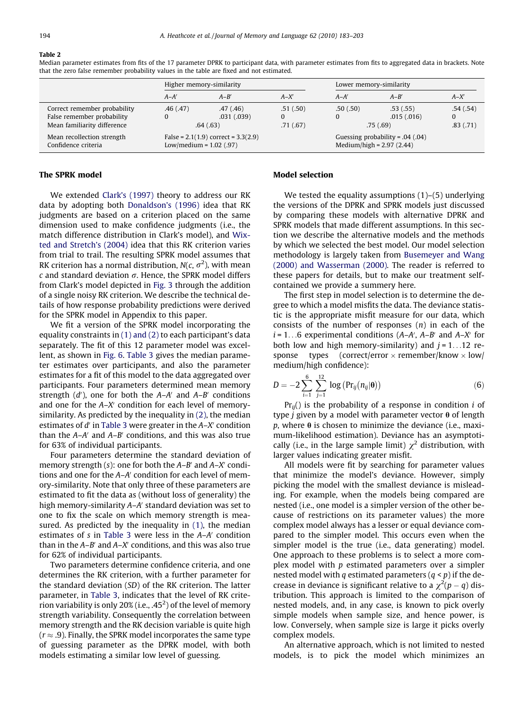#### <span id="page-11-0"></span>Table 2

Median parameter estimates from fits of the 17 parameter DPRK to participant data, with parameter estimates from fits to aggregated data in brackets. Note that the zero false remember probability values in the table are fixed and not estimated.

|                                                                                           | Higher memory-similarity                                             |                                    | Lower memory-similarity |                                                                      |                                    |                                  |
|-------------------------------------------------------------------------------------------|----------------------------------------------------------------------|------------------------------------|-------------------------|----------------------------------------------------------------------|------------------------------------|----------------------------------|
|                                                                                           | $A - A'$                                                             | $A - B'$                           | $A - X'$                | $A - A'$                                                             | $A - B'$                           | $A-X'$                           |
| Correct remember probability<br>False remember probability<br>Mean familiarity difference | .46(.47)                                                             | .47(.46)<br>.031(.039)<br>.64(.63) | .51(.50)<br>.71(.67)    | .50(.50)                                                             | .53(.55)<br>.015(.016)<br>.75(.69) | .54(.54)<br>$\bf{0}$<br>.83(.71) |
| Mean recollection strength<br>Confidence criteria                                         | False = $2.1(1.9)$ correct = $3.3(2.9)$<br>Low/medium = $1.02$ (.97) |                                    |                         | Guessing probability = $.04$ ( $.04$ )<br>Medium/high = $2.97(2.44)$ |                                    |                                  |

#### The SPRK model

We extended [Clark's \(1997\)](#page-19-0) theory to address our RK data by adopting both [Donaldson's \(1996\)](#page-20-0) idea that RK judgments are based on a criterion placed on the same dimension used to make confidence judgments (i.e., the match difference distribution in Clark's model), and [Wix](#page-20-0)[ted and Stretch's \(2004\)](#page-20-0) idea that this RK criterion varies from trial to trail. The resulting SPRK model assumes that RK criterion has a normal distribution,  $N(c, \sigma^2)$ , with mean  $c$  and standard deviation  $\sigma$ . Hence, the SPRK model differs from Clark's model depicted in [Fig. 3](#page-7-0) through the addition of a single noisy RK criterion. We describe the technical details of how response probability predictions were derived for the SPRK model in Appendix to this paper.

We fit a version of the SPRK model incorporating the equality constraints in [\(1\) and \(2\)](#page-7-0) to each participant's data separately. The fit of this 12 parameter model was excellent, as shown in [Fig. 6.](#page-13-0) [Table 3](#page-13-0) gives the median parameter estimates over participants, and also the parameter estimates for a fit of this model to the data aggregated over participants. Four parameters determined mean memory strength  $(d')$ , one for both the  $A-A'$  and  $A-B'$  conditions and one for the  $A-X'$  condition for each level of memorysimilarity. As predicted by the inequality in [\(2\),](#page-7-0) the median estimates of  $d'$  in [Table 3](#page-13-0) were greater in the  $A-X'$  condition than the  $A-A'$  and  $A-B'$  conditions, and this was also true for 63% of individual participants.

Four parameters determine the standard deviation of memory strength  $(s)$ : one for both the  $A-B'$  and  $A-X'$  conditions and one for the  $A-A'$  condition for each level of memory-similarity. Note that only three of these parameters are estimated to fit the data as (without loss of generality) the high memory-similarity  $A-A'$  standard deviation was set to one to fix the scale on which memory strength is measured. As predicted by the inequality in [\(1\)](#page-7-0), the median estimates of  $s$  in [Table 3](#page-13-0) were less in the  $A-A'$  condition than in the  $A-B'$  and  $A-X'$  conditions, and this was also true for 62% of individual participants.

Two parameters determine confidence criteria, and one determines the RK criterion, with a further parameter for the standard deviation (SD) of the RK criterion. The latter parameter, in [Table 3](#page-13-0), indicates that the level of RK criterion variability is only 20% (i.e., .45<sup>2</sup>) of the level of memory strength variability. Consequently the correlation between memory strength and the RK decision variable is quite high  $(r \approx .9)$ . Finally, the SPRK model incorporates the same type of guessing parameter as the DPRK model, with both models estimating a similar low level of guessing.

#### Model selection

We tested the equality assumptions (1)–(5) underlying the versions of the DPRK and SPRK models just discussed by comparing these models with alternative DPRK and SPRK models that made different assumptions. In this section we describe the alternative models and the methods by which we selected the best model. Our model selection methodology is largely taken from [Busemeyer and Wang](#page-19-0) [\(2000\) and Wasserman \(2000\)](#page-19-0). The reader is referred to these papers for details, but to make our treatment selfcontained we provide a summery here.

The first step in model selection is to determine the degree to which a model misfits the data. The deviance statistic is the appropriate misfit measure for our data, which consists of the number of responses  $(n)$  in each of the  $i = 1...6$  experimental conditions  $(A-A', A-B'$  and  $A-X'$  for both low and high memory-similarity) and  $j = 1...12$  response types (correct/error  $\times$  remember/know  $\times$  low/ medium/high confidence):

$$
D = -2 \sum_{i=1}^{6} \sum_{j=1}^{12} \log (Pr_{ij}(n_{ij}|\theta))
$$
 (6)

 $Pr_{ii}$ ) is the probability of a response in condition *i* of type *j* given by a model with parameter vector  $\theta$  of length  $p$ , where  $\theta$  is chosen to minimize the deviance (i.e., maximum-likelihood estimation). Deviance has an asymptotically (i.e., in the large sample limit)  $\chi^2$  distribution, with larger values indicating greater misfit.

All models were fit by searching for parameter values that minimize the model's deviance. However, simply picking the model with the smallest deviance is misleading. For example, when the models being compared are nested (i.e., one model is a simpler version of the other because of restrictions on its parameter values) the more complex model always has a lesser or equal deviance compared to the simpler model. This occurs even when the simpler model is the true (i.e., data generating) model. One approach to these problems is to select a more complex model with  $p$  estimated parameters over a simpler nested model with q estimated parameters  $(q < p)$  if the decrease in deviance is significant relative to a  $\chi^2(p-q)$  distribution. This approach is limited to the comparison of nested models, and, in any case, is known to pick overly simple models when sample size, and hence power, is low. Conversely, when sample size is large it picks overly complex models.

An alternative approach, which is not limited to nested models, is to pick the model which minimizes an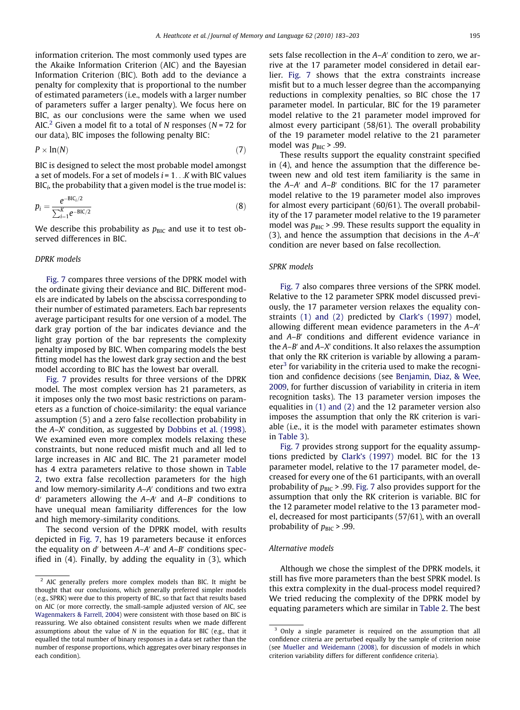<span id="page-12-0"></span>information criterion. The most commonly used types are the Akaike Information Criterion (AIC) and the Bayesian Information Criterion (BIC). Both add to the deviance a penalty for complexity that is proportional to the number of estimated parameters (i.e., models with a larger number of parameters suffer a larger penalty). We focus here on BIC, as our conclusions were the same when we used AIC.<sup>2</sup> Given a model fit to a total of N responses ( $N = 72$  for our data), BIC imposes the following penalty BIC:

$$
P \times \ln(N) \tag{7}
$$

BIC is designed to select the most probable model amongst a set of models. For a set of models  $i = 1$ ... K with BIC values  $BIC<sub>i</sub>$ , the probability that a given model is the true model is:

$$
p_i = \frac{e^{-B|C_i/2}}{\sum_{i=1}^{K} e^{-B|C_i/2}}\tag{8}
$$

We describe this probability as  $p_{\text{BIC}}$  and use it to test observed differences in BIC.

# DPRK models

[Fig. 7](#page-14-0) compares three versions of the DPRK model with the ordinate giving their deviance and BIC. Different models are indicated by labels on the abscissa corresponding to their number of estimated parameters. Each bar represents average participant results for one version of a model. The dark gray portion of the bar indicates deviance and the light gray portion of the bar represents the complexity penalty imposed by BIC. When comparing models the best fitting model has the lowest dark gray section and the best model according to BIC has the lowest bar overall.

[Fig. 7](#page-14-0) provides results for three versions of the DPRK model. The most complex version has 21 parameters, as it imposes only the two most basic restrictions on parameters as a function of choice-similarity: the equal variance assumption (5) and a zero false recollection probability in the  $A-X'$  condition, as suggested by [Dobbins et al. \(1998\)](#page-20-0). We examined even more complex models relaxing these constraints, but none reduced misfit much and all led to large increases in AIC and BIC. The 21 parameter model has 4 extra parameters relative to those shown in [Table](#page-11-0) [2,](#page-11-0) two extra false recollection parameters for the high and low memory-similarity  $A-A'$  conditions and two extra  $d'$  parameters allowing the  $A-A'$  and  $A-B'$  conditions to have unequal mean familiarity differences for the low and high memory-similarity conditions.

The second version of the DPRK model, with results depicted in [Fig. 7](#page-14-0), has 19 parameters because it enforces the equality on  $d'$  between  $A-A'$  and  $A-B'$  conditions specified in (4). Finally, by adding the equality in (3), which sets false recollection in the  $A-A'$  condition to zero, we arrive at the 17 parameter model considered in detail earlier. [Fig. 7](#page-14-0) shows that the extra constraints increase misfit but to a much lesser degree than the accompanying reductions in complexity penalties, so BIC chose the 17 parameter model. In particular, BIC for the 19 parameter model relative to the 21 parameter model improved for almost every participant (58/61). The overall probability of the 19 parameter model relative to the 21 parameter model was  $p_{\text{BIC}}$  > .99.

These results support the equality constraint specified in (4), and hence the assumption that the difference between new and old test item familiarity is the same in the  $A-A'$  and  $A-B'$  conditions. BIC for the 17 parameter model relative to the 19 parameter model also improves for almost every participant (60/61). The overall probability of the 17 parameter model relative to the 19 parameter model was  $p_{\text{BIC}}$  > .99. These results support the equality in (3), and hence the assumption that decisions in the  $A-A'$ condition are never based on false recollection.

#### SPRK models

[Fig. 7](#page-14-0) also compares three versions of the SPRK model. Relative to the 12 parameter SPRK model discussed previously, the 17 parameter version relaxes the equality constraints [\(1\) and \(2\)](#page-7-0) predicted by [Clark's \(1997\)](#page-19-0) model, allowing different mean evidence parameters in the  $A-A$ <sup>'</sup> and  $A-B'$  conditions and different evidence variance in the  $A-B'$  and  $A-X'$  conditions. It also relaxes the assumption that only the RK criterion is variable by allowing a parameter<sup>3</sup> for variability in the criteria used to make the recognition and confidence decisions (see [Benjamin, Diaz, & Wee,](#page-19-0) [2009](#page-19-0), for further discussion of variability in criteria in item recognition tasks). The 13 parameter version imposes the equalities in [\(1\) and \(2\)](#page-7-0) and the 12 parameter version also imposes the assumption that only the RK criterion is variable (i.e., it is the model with parameter estimates shown in [Table 3\)](#page-13-0).

[Fig. 7](#page-14-0) provides strong support for the equality assumptions predicted by [Clark's \(1997\)](#page-19-0) model. BIC for the 13 parameter model, relative to the 17 parameter model, decreased for every one of the 61 participants, with an overall probability of  $p_{\text{BIC}}$  > .99. [Fig. 7](#page-14-0) also provides support for the assumption that only the RK criterion is variable. BIC for the 12 parameter model relative to the 13 parameter model, decreased for most participants (57/61), with an overall probability of  $p_{\text{BIC}}$  > .99.

#### Alternative models

Although we chose the simplest of the DPRK models, it still has five more parameters than the best SPRK model. Is this extra complexity in the dual-process model required? We tried reducing the complexity of the DPRK model by equating parameters which are similar in [Table 2](#page-11-0). The best

<sup>2</sup> AIC generally prefers more complex models than BIC. It might be thought that our conclusions, which generally preferred simpler models (e.g., SPRK) were due to this property of BIC, so that fact that results based on AIC (or more correctly, the small-sample adjusted version of AIC, see [Wagenmakers & Farrell, 2004](#page-20-0)) were consistent with those based on BIC is reassuring. We also obtained consistent results when we made different assumptions about the value of  $N$  in the equation for BIC (e.g., that it equalled the total number of binary responses in a data set rather than the number of response proportions, which aggregates over binary responses in each condition).

Only a single parameter is required on the assumption that all confidence criteria are perturbed equally by the sample of criterion noise (see [Mueller and Weidemann \(2008\),](#page-20-0) for discussion of models in which criterion variability differs for different confidence criteria).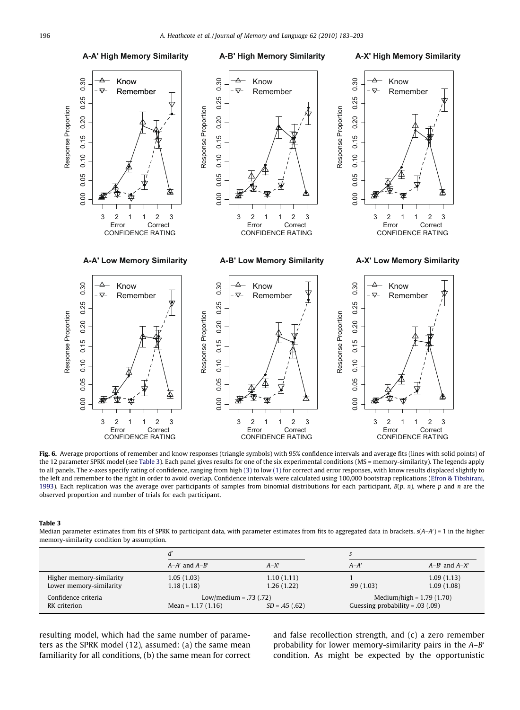

**A-B' High Memory Similarity**

**A-X' High Memory Similarity**

<span id="page-13-0"></span>

Fig. 6. Average proportions of remember and know responses (triangle symbols) with 95% confidence intervals and average fits (lines with solid points) of the 12 parameter SPRK model (see Table 3). Each panel gives results for one of the six experimental conditions (MS = memory-similarity). The legends apply to all panels. The x-axes specify rating of confidence, ranging from high [\(3\)](#page-8-0) to low [\(1\)](#page-7-0) for correct and error responses, with know results displaced slightly to the left and remember to the right in order to avoid overlap. Confidence intervals were calculated using 100,000 bootstrap replications [\(Efron & Tibshirani,](#page-20-0) [1993](#page-20-0)). Each replication was the average over participants of samples from binomial distributions for each participant,  $B(p, n)$ , where p and n are the observed proportion and number of trials for each participant.

#### Table 3

Median parameter estimates from fits of SPRK to participant data, with parameter estimates from fits to aggregated data in brackets. s(A–A') = 1 in the higher memory-similarity condition by assumption.

|                                                     | $A-A'$ and $A-B'$                               | $A-X'$                   | $A - A'$  | $A - B'$ and $A - X'$                                            |  |
|-----------------------------------------------------|-------------------------------------------------|--------------------------|-----------|------------------------------------------------------------------|--|
| Higher memory-similarity<br>Lower memory-similarity | 1.05(1.03)<br>1.18(1.18)                        | 1.10(1.11)<br>1.26(1.22) | .99(1.03) | 1.09(1.13)<br>1.09(1.08)                                         |  |
| Confidence criteria<br>RK criterion                 | Low/medium = $.73$ (.72)<br>Mean = $1.17(1.16)$ | $SD = .45(.62)$          |           | Medium/high = $1.79(1.70)$<br>Guessing probability = $.03$ (.09) |  |

resulting model, which had the same number of parameters as the SPRK model (12), assumed: (a) the same mean familiarity for all conditions, (b) the same mean for correct and false recollection strength, and (c) a zero remember probability for lower memory-similarity pairs in the  $A-B$ <sup>'</sup> condition. As might be expected by the opportunistic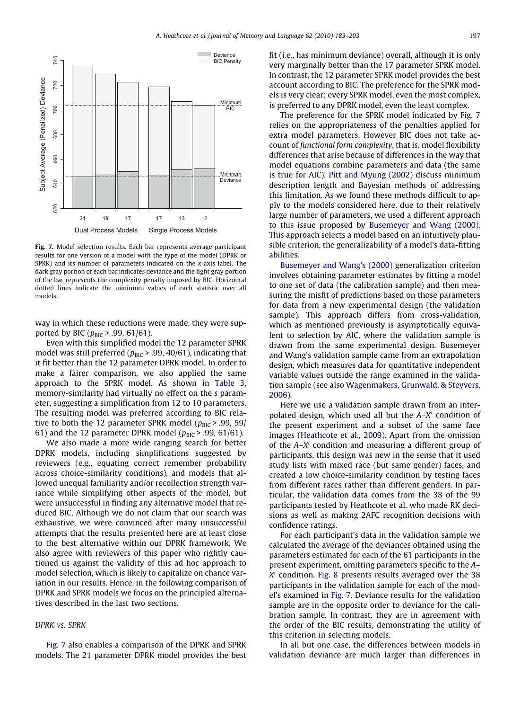<span id="page-14-0"></span>

Fig. 7. Model selection results. Each bar represents average participant results for one version of a model with the type of the model (DPRK or SPRK) and its number of parameters indicated on the x-axis label. The dark gray portion of each bar indicates deviance and the light gray portion of the bar represents the complexity penalty imposed by BIC. Horizontal dotted lines indicate the minimum values of each statistic over all models.

way in which these reductions were made, they were supported by BIC ( $p_{\text{BIC}} > .99, 61/61$ ).

Even with this simplified model the 12 parameter SPRK model was still preferred ( $p_{\text{BIC}}$  > .99, 40/61), indicating that it fit better than the 12 parameter DPRK model. In order to make a fairer comparison, we also applied the same approach to the SPRK model. As shown in [Table 3](#page-13-0), memory-similarity had virtually no effect on the s parameter, suggesting a simplification from 12 to 10 parameters. The resulting model was preferred according to BIC relative to both the 12 parameter SPRK model ( $p_{\text{BIC}}$  > .99, 59/ 61) and the 12 parameter DPRK model ( $p_{\text{BIC}}$  > .99, 61/61).

We also made a more wide ranging search for better DPRK models, including simplifications suggested by reviewers (e.g., equating correct remember probability across choice-similarity conditions), and models that allowed unequal familiarity and/or recollection strength variance while simplifying other aspects of the model, but were unsuccessful in finding any alternative model that reduced BIC. Although we do not claim that our search was exhaustive, we were convinced after many unsuccessful attempts that the results presented here are at least close to the best alternative within our DPRK framework. We also agree with reviewers of this paper who rightly cautioned us against the validity of this ad hoc approach to model selection, which is likely to capitalize on chance variation in our results. Hence, in the following comparison of DPRK and SPRK models we focus on the principled alternatives described in the last two sections.

#### DPRK vs. SPRK

Fig. 7 also enables a comparison of the DPRK and SPRK models. The 21 parameter DPRK model provides the best fit (i.e., has minimum deviance) overall, although it is only very marginally better than the 17 parameter SPRK model. In contrast, the 12 parameter SPRK model provides the best account according to BIC. The preference for the SPRK models is very clear; every SPRK model, even the most complex, is preferred to any DPRK model, even the least complex.

The preference for the SPRK model indicated by Fig. 7 relies on the appropriateness of the penalties applied for extra model parameters. However BIC does not take account of functional form complexity, that is, model flexibility differences that arise because of differences in the way that model equations combine parameters and data (the same is true for AIC). [Pitt and Myung \(2002\)](#page-20-0) discuss minimum description length and Bayesian methods of addressing this limitation. As we found these methods difficult to apply to the models considered here, due to their relatively large number of parameters, we used a different approach to this issue proposed by [Busemeyer and Wang \(2000\)](#page-19-0). This approach selects a model based on an intuitively plausible criterion, the generalizability of a model's data-fitting abilities.

[Busemeyer and Wang's \(2000\)](#page-19-0) generalization criterion involves obtaining parameter estimates by fitting a model to one set of data (the calibration sample) and then measuring the misfit of predictions based on those parameters for data from a new experimental design (the validation sample). This approach differs from cross-validation, which as mentioned previously is asymptotically equivalent to selection by AIC, where the validation sample is drawn from the same experimental design. Busemeyer and Wang's validation sample came from an extrapolation design, which measures data for quantitative independent variable values outside the range examined in the validation sample (see also [Wagenmakers, Grunwald, & Steyvers,](#page-20-0) [2006\)](#page-20-0).

Here we use a validation sample drawn from an interpolated design, which used all but the  $A-X'$  condition of the present experiment and a subset of the same face images ([Heathcote et al., 2009\)](#page-20-0). Apart from the omission of the  $A-X'$  condition and measuring a different group of participants, this design was new in the sense that it used study lists with mixed race (but same gender) faces, and created a low choice-similarity condition by testing faces from different races rather than different genders. In particular, the validation data comes from the 38 of the 99 participants tested by Heathcote et al. who made RK decisions as well as making 2AFC recognition decisions with confidence ratings.

For each participant's data in the validation sample we calculated the average of the deviances obtained using the parameters estimated for each of the 61 participants in the present experiment, omitting parameters specific to the A–  $X<sup>′</sup>$  condition. [Fig. 8](#page-15-0) presents results averaged over the 38 participants in the validation sample for each of the model's examined in Fig. 7. Deviance results for the validation sample are in the opposite order to deviance for the calibration sample. In contrast, they are in agreement with the order of the BIC results, demonstrating the utility of this criterion in selecting models.

In all but one case, the differences between models in validation deviance are much larger than differences in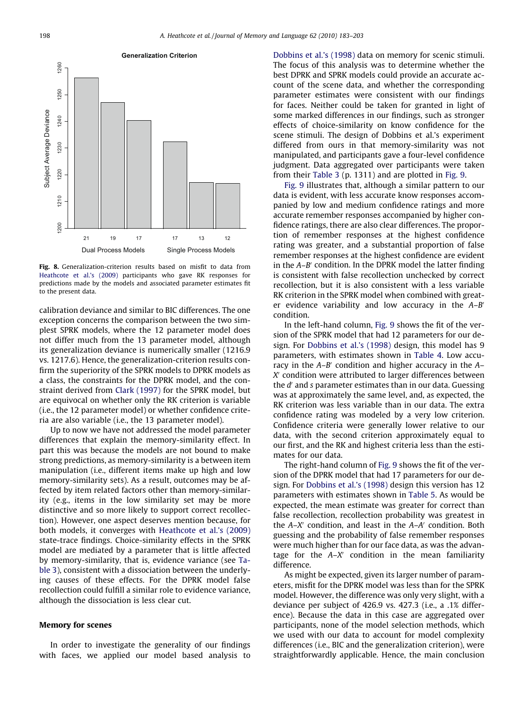<span id="page-15-0"></span>

Fig. 8. Generalization-criterion results based on misfit to data from [Heathcote et al.'s \(2009\)](#page-20-0) participants who gave RK responses for predictions made by the models and associated parameter estimates fit to the present data.

calibration deviance and similar to BIC differences. The one exception concerns the comparison between the two simplest SPRK models, where the 12 parameter model does not differ much from the 13 parameter model, although its generalization deviance is numerically smaller (1216.9 vs. 1217.6). Hence, the generalization-criterion results confirm the superiority of the SPRK models to DPRK models as a class, the constraints for the DPRK model, and the constraint derived from [Clark \(1997\)](#page-19-0) for the SPRK model, but are equivocal on whether only the RK criterion is variable (i.e., the 12 parameter model) or whether confidence criteria are also variable (i.e., the 13 parameter model).

Up to now we have not addressed the model parameter differences that explain the memory-similarity effect. In part this was because the models are not bound to make strong predictions, as memory-similarity is a between item manipulation (i.e., different items make up high and low memory-similarity sets). As a result, outcomes may be affected by item related factors other than memory-similarity (e.g., items in the low similarity set may be more distinctive and so more likely to support correct recollection). However, one aspect deserves mention because, for both models, it converges with [Heathcote et al.'s \(2009\)](#page-20-0) state-trace findings. Choice-similarity effects in the SPRK model are mediated by a parameter that is little affected by memory-similarity, that is, evidence variance (see [Ta](#page-13-0)[ble 3\)](#page-13-0), consistent with a dissociation between the underlying causes of these effects. For the DPRK model false recollection could fulfill a similar role to evidence variance, although the dissociation is less clear cut.

#### Memory for scenes

In order to investigate the generality of our findings with faces, we applied our model based analysis to

[Dobbins et al.'s \(1998\)](#page-20-0) data on memory for scenic stimuli. The focus of this analysis was to determine whether the best DPRK and SPRK models could provide an accurate account of the scene data, and whether the corresponding parameter estimates were consistent with our findings for faces. Neither could be taken for granted in light of some marked differences in our findings, such as stronger effects of choice-similarity on know confidence for the scene stimuli. The design of Dobbins et al.'s experiment differed from ours in that memory-similarity was not manipulated, and participants gave a four-level confidence judgment. Data aggregated over participants were taken from their [Table 3](#page-13-0) (p. 1311) and are plotted in [Fig. 9.](#page-16-0)

[Fig. 9](#page-16-0) illustrates that, although a similar pattern to our data is evident, with less accurate know responses accompanied by low and medium confidence ratings and more accurate remember responses accompanied by higher confidence ratings, there are also clear differences. The proportion of remember responses at the highest confidence rating was greater, and a substantial proportion of false remember responses at the highest confidence are evident in the  $A-B'$  condition. In the DPRK model the latter finding is consistent with false recollection unchecked by correct recollection, but it is also consistent with a less variable RK criterion in the SPRK model when combined with greater evidence variability and low accuracy in the  $A-B$ <sup>'</sup> condition.

In the left-hand column, [Fig. 9](#page-16-0) shows the fit of the version of the SPRK model that had 12 parameters for our design. For [Dobbins et al.'s \(1998\)](#page-20-0) design, this model has 9 parameters, with estimates shown in [Table 4.](#page-16-0) Low accuracy in the  $A-B'$  condition and higher accuracy in the  $A X<sup>'</sup>$  condition were attributed to larger differences between the  $d'$  and s parameter estimates than in our data. Guessing was at approximately the same level, and, as expected, the RK criterion was less variable than in our data. The extra confidence rating was modeled by a very low criterion. Confidence criteria were generally lower relative to our data, with the second criterion approximately equal to our first, and the RK and highest criteria less than the estimates for our data.

The right-hand column of [Fig. 9](#page-16-0) shows the fit of the version of the DPRK model that had 17 parameters for our design. For [Dobbins et al.'s \(1998\)](#page-20-0) design this version has 12 parameters with estimates shown in [Table 5.](#page-16-0) As would be expected, the mean estimate was greater for correct than false recollection, recollection probability was greatest in the  $A-X'$  condition, and least in the  $A-A'$  condition. Both guessing and the probability of false remember responses were much higher than for our face data, as was the advantage for the  $A-X'$  condition in the mean familiarity difference.

As might be expected, given its larger number of parameters, misfit for the DPRK model was less than for the SPRK model. However, the difference was only very slight, with a deviance per subject of 426.9 vs. 427.3 (i.e., a .1% difference). Because the data in this case are aggregated over participants, none of the model selection methods, which we used with our data to account for model complexity differences (i.e., BIC and the generalization criterion), were straightforwardly applicable. Hence, the main conclusion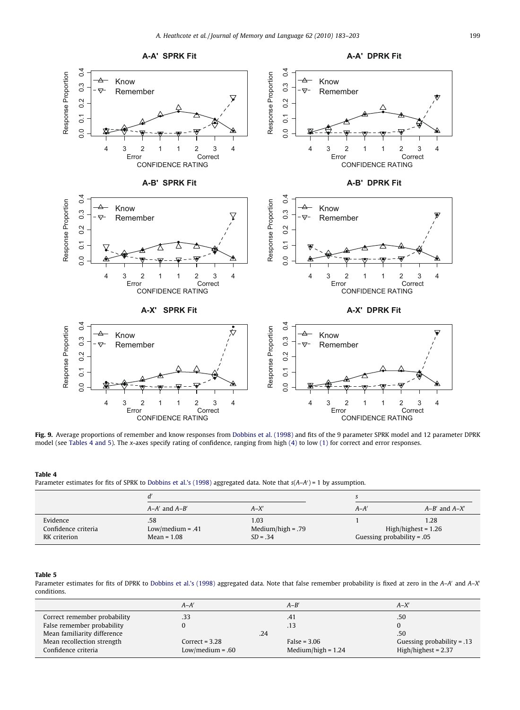<span id="page-16-0"></span>

Fig. 9. Average proportions of remember and know responses from [Dobbins et al. \(1998\)](#page-20-0) and fits of the 9 parameter SPRK model and 12 parameter DPRK model (see Tables 4 and 5). The x-axes specify rating of confidence, ranging from high [\(4\)](#page-8-0) to low [\(1\)](#page-7-0) for correct and error responses.

#### Table 4

Parameter estimates for fits of SPRK to [Dobbins et al.'s \(1998\)](#page-20-0) aggregated data. Note that s(A–A') = 1 by assumption.

|                                                 | $A-A'$ and $A-B'$                          | $A-X'$                                    | $A-A'$                                              | $A-B'$ and $A-X'$ |
|-------------------------------------------------|--------------------------------------------|-------------------------------------------|-----------------------------------------------------|-------------------|
| Evidence<br>Confidence criteria<br>RK criterion | .58<br>Low/medium = $.41$<br>$Mean = 1.08$ | l.O3<br>Medium/high = $.79$<br>$SD = .34$ | $High/highest = 1.26$<br>Guessing probability = .05 | 1.28              |

## Table 5

Parameter estimates for fits of DPRK to [Dobbins et al.'s \(1998\)](#page-20-0) aggregated data. Note that false remember probability is fixed at zero in the A-A' and A-X' conditions.

|                              | $A - A'$           | $A - B'$             | $A - X'$                     |
|------------------------------|--------------------|----------------------|------------------------------|
| Correct remember probability | .33                | .41                  | .50                          |
| False remember probability   |                    | .13                  |                              |
| Mean familiarity difference  |                    | .24                  | .50                          |
| Mean recollection strength   | $Correct = 3.28$   | False = $3.06$       | Guessing probability = $.13$ |
| Confidence criteria          | Low/medium = $.60$ | Medium/high = $1.24$ | $High/hights$ t = 2.37       |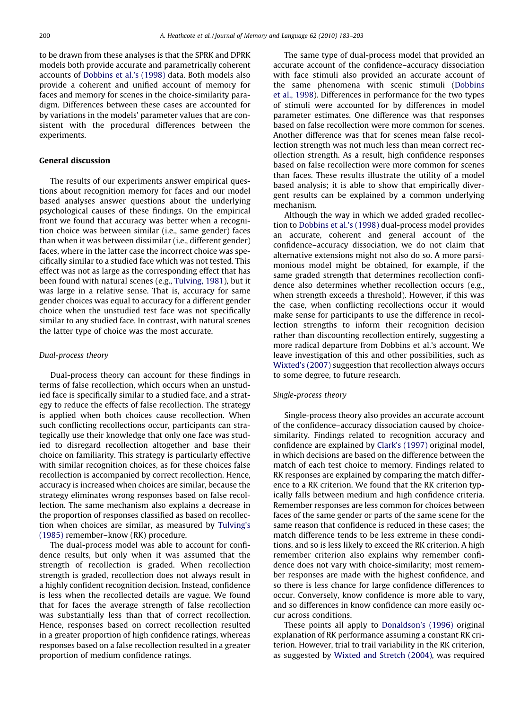to be drawn from these analyses is that the SPRK and DPRK models both provide accurate and parametrically coherent accounts of [Dobbins et al.'s \(1998\)](#page-20-0) data. Both models also provide a coherent and unified account of memory for faces and memory for scenes in the choice-similarity paradigm. Differences between these cases are accounted for by variations in the models' parameter values that are consistent with the procedural differences between the experiments.

# General discussion

The results of our experiments answer empirical questions about recognition memory for faces and our model based analyses answer questions about the underlying psychological causes of these findings. On the empirical front we found that accuracy was better when a recognition choice was between similar (i.e., same gender) faces than when it was between dissimilar (i.e., different gender) faces, where in the latter case the incorrect choice was specifically similar to a studied face which was not tested. This effect was not as large as the corresponding effect that has been found with natural scenes (e.g., [Tulving, 1981](#page-20-0)), but it was large in a relative sense. That is, accuracy for same gender choices was equal to accuracy for a different gender choice when the unstudied test face was not specifically similar to any studied face. In contrast, with natural scenes the latter type of choice was the most accurate.

#### Dual-process theory

Dual-process theory can account for these findings in terms of false recollection, which occurs when an unstudied face is specifically similar to a studied face, and a strategy to reduce the effects of false recollection. The strategy is applied when both choices cause recollection. When such conflicting recollections occur, participants can strategically use their knowledge that only one face was studied to disregard recollection altogether and base their choice on familiarity. This strategy is particularly effective with similar recognition choices, as for these choices false recollection is accompanied by correct recollection. Hence, accuracy is increased when choices are similar, because the strategy eliminates wrong responses based on false recollection. The same mechanism also explains a decrease in the proportion of responses classified as based on recollection when choices are similar, as measured by [Tulving's](#page-20-0) [\(1985\)](#page-20-0) remember–know (RK) procedure.

The dual-process model was able to account for confidence results, but only when it was assumed that the strength of recollection is graded. When recollection strength is graded, recollection does not always result in a highly confident recognition decision. Instead, confidence is less when the recollected details are vague. We found that for faces the average strength of false recollection was substantially less than that of correct recollection. Hence, responses based on correct recollection resulted in a greater proportion of high confidence ratings, whereas responses based on a false recollection resulted in a greater proportion of medium confidence ratings.

The same type of dual-process model that provided an accurate account of the confidence–accuracy dissociation with face stimuli also provided an accurate account of the same phenomena with scenic stimuli [\(Dobbins](#page-20-0) [et al., 1998](#page-20-0)). Differences in performance for the two types of stimuli were accounted for by differences in model parameter estimates. One difference was that responses based on false recollection were more common for scenes. Another difference was that for scenes mean false recollection strength was not much less than mean correct recollection strength. As a result, high confidence responses based on false recollection were more common for scenes than faces. These results illustrate the utility of a model based analysis; it is able to show that empirically divergent results can be explained by a common underlying mechanism.

Although the way in which we added graded recollection to [Dobbins et al.'s \(1998\)](#page-20-0) dual-process model provides an accurate, coherent and general account of the confidence–accuracy dissociation, we do not claim that alternative extensions might not also do so. A more parsimonious model might be obtained, for example, if the same graded strength that determines recollection confidence also determines whether recollection occurs (e.g., when strength exceeds a threshold). However, if this was the case, when conflicting recollections occur it would make sense for participants to use the difference in recollection strengths to inform their recognition decision rather than discounting recollection entirely, suggesting a more radical departure from Dobbins et al.'s account. We leave investigation of this and other possibilities, such as [Wixted's \(2007\)](#page-20-0) suggestion that recollection always occurs to some degree, to future research.

# Single-process theory

Single-process theory also provides an accurate account of the confidence–accuracy dissociation caused by choicesimilarity. Findings related to recognition accuracy and confidence are explained by [Clark's \(1997\)](#page-19-0) original model, in which decisions are based on the difference between the match of each test choice to memory. Findings related to RK responses are explained by comparing the match difference to a RK criterion. We found that the RK criterion typically falls between medium and high confidence criteria. Remember responses are less common for choices between faces of the same gender or parts of the same scene for the same reason that confidence is reduced in these cases; the match difference tends to be less extreme in these conditions, and so is less likely to exceed the RK criterion. A high remember criterion also explains why remember confidence does not vary with choice-similarity; most remember responses are made with the highest confidence, and so there is less chance for large confidence differences to occur. Conversely, know confidence is more able to vary, and so differences in know confidence can more easily occur across conditions.

These points all apply to [Donaldson's \(1996\)](#page-20-0) original explanation of RK performance assuming a constant RK criterion. However, trial to trail variability in the RK criterion, as suggested by [Wixted and Stretch \(2004\)](#page-20-0), was required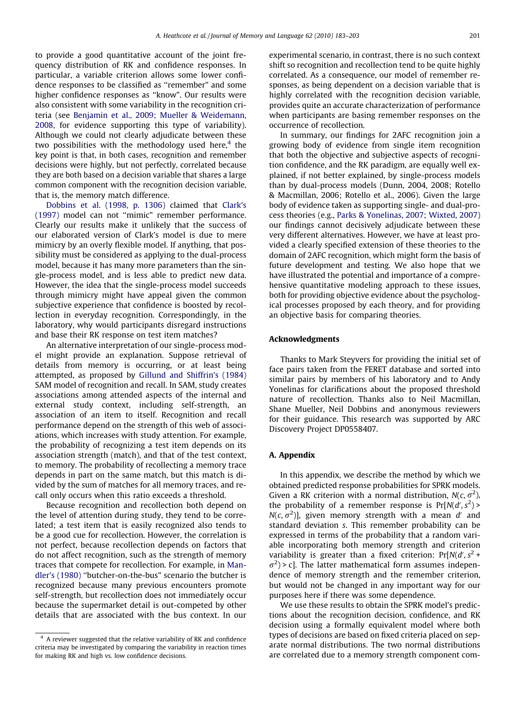to provide a good quantitative account of the joint frequency distribution of RK and confidence responses. In particular, a variable criterion allows some lower confidence responses to be classified as ''remember" and some higher confidence responses as ''know". Our results were also consistent with some variability in the recognition criteria (see [Benjamin et al., 2009; Mueller & Weidemann,](#page-19-0) [2008,](#page-19-0) for evidence supporting this type of variability). Although we could not clearly adjudicate between these two possibilities with the methodology used here, $4$  the key point is that, in both cases, recognition and remember decisions were highly, but not perfectly, correlated because they are both based on a decision variable that shares a large common component with the recognition decision variable, that is, the memory match difference.

[Dobbins et al. \(1998, p. 1306\)](#page-20-0) claimed that [Clark's](#page-19-0) [\(1997\)](#page-19-0) model can not ''mimic" remember performance. Clearly our results make it unlikely that the success of our elaborated version of Clark's model is due to mere mimicry by an overly flexible model. If anything, that possibility must be considered as applying to the dual-process model, because it has many more parameters than the single-process model, and is less able to predict new data. However, the idea that the single-process model succeeds through mimicry might have appeal given the common subjective experience that confidence is boosted by recollection in everyday recognition. Correspondingly, in the laboratory, why would participants disregard instructions and base their RK response on test item matches?

An alternative interpretation of our single-process model might provide an explanation. Suppose retrieval of details from memory is occurring, or at least being attempted, as proposed by [Gillund and Shiffrin's \(1984\)](#page-20-0) SAM model of recognition and recall. In SAM, study creates associations among attended aspects of the internal and external study context, including self-strength, an association of an item to itself. Recognition and recall performance depend on the strength of this web of associations, which increases with study attention. For example, the probability of recognizing a test item depends on its association strength (match), and that of the test context, to memory. The probability of recollecting a memory trace depends in part on the same match, but this match is divided by the sum of matches for all memory traces, and recall only occurs when this ratio exceeds a threshold.

Because recognition and recollection both depend on the level of attention during study, they tend to be correlated; a test item that is easily recognized also tends to be a good cue for recollection. However, the correlation is not perfect, because recollection depends on factors that do not affect recognition, such as the strength of memory traces that compete for recollection. For example, in [Man](#page-20-0)[dler's \(1980\)](#page-20-0) ''butcher-on-the-bus" scenario the butcher is recognized because many previous encounters promote self-strength, but recollection does not immediately occur because the supermarket detail is out-competed by other details that are associated with the bus context. In our experimental scenario, in contrast, there is no such context shift so recognition and recollection tend to be quite highly correlated. As a consequence, our model of remember responses, as being dependent on a decision variable that is highly correlated with the recognition decision variable, provides quite an accurate characterization of performance when participants are basing remember responses on the occurrence of recollection.

In summary, our findings for 2AFC recognition join a growing body of evidence from single item recognition that both the objective and subjective aspects of recognition confidence, and the RK paradigm, are equally well explained, if not better explained, by single-process models than by dual-process models (Dunn, 2004, 2008; Rotello & Macmillan, 2006; Rotello et al., 2006). Given the large body of evidence taken as supporting single- and dual-process theories (e.g., [Parks & Yonelinas, 2007; Wixted, 2007](#page-20-0)) our findings cannot decisively adjudicate between these very different alternatives. However, we have at least provided a clearly specified extension of these theories to the domain of 2AFC recognition, which might form the basis of future development and testing. We also hope that we have illustrated the potential and importance of a comprehensive quantitative modeling approach to these issues, both for providing objective evidence about the psychological processes proposed by each theory, and for providing an objective basis for comparing theories.

#### Acknowledgments

Thanks to Mark Steyvers for providing the initial set of face pairs taken from the FERET database and sorted into similar pairs by members of his laboratory and to Andy Yonelinas for clarifications about the proposed threshold nature of recollection. Thanks also to Neil Macmillan, Shane Mueller, Neil Dobbins and anonymous reviewers for their guidance. This research was supported by ARC Discovery Project DP0558407.

#### A. Appendix

In this appendix, we describe the method by which we obtained predicted response probabilities for SPRK models. Given a RK criterion with a normal distribution,  $N(c, \sigma^2)$ , the probability of a remember response is  $Pr[N(d', s^2) >$  $N(c, \sigma^2)$ ], given memory strength with a mean d' and standard deviation s. This remember probability can be expressed in terms of the probability that a random variable incorporating both memory strength and criterion variability is greater than a fixed criterion:  $Pr[N(d', s^2 +$  $\sigma^2$ ) > c]. The latter mathematical form assumes independence of memory strength and the remember criterion, but would not be changed in any important way for our purposes here if there was some dependence.

We use these results to obtain the SPRK model's predictions about the recognition decision, confidence, and RK decision using a formally equivalent model where both types of decisions are based on fixed criteria placed on separate normal distributions. The two normal distributions are correlated due to a memory strength component com-

<sup>4</sup> A reviewer suggested that the relative variability of RK and confidence criteria may be investigated by comparing the variability in reaction times for making RK and high vs. low confidence decisions.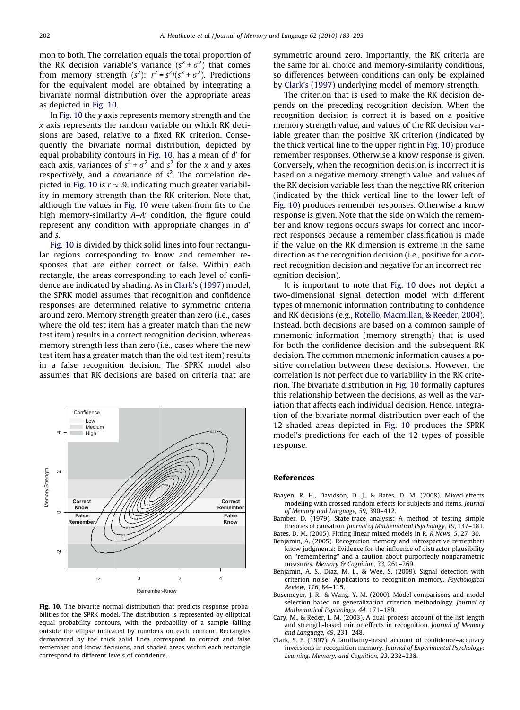<span id="page-19-0"></span>mon to both. The correlation equals the total proportion of the RK decision variable's variance  $(s^2 + \sigma^2)$  that comes from memory strength  $(s^2)$ :  $r^2 = s^2/(s^2 + \sigma^2)$ . Predictions for the equivalent model are obtained by integrating a bivariate normal distribution over the appropriate areas as depicted in Fig. 10.

In Fig. 10 the y axis represents memory strength and the x axis represents the random variable on which RK decisions are based, relative to a fixed RK criterion. Consequently the bivariate normal distribution, depicted by equal probability contours in Fig. 10, has a mean of  $d'$  for each axis, variances of  $s^2 + \sigma^2$  and  $s^2$  for the x and y axes respectively, and a covariance of  $s^2$ . The correlation depicted in Fig. 10 is  $r \approx .9$ , indicating much greater variability in memory strength than the RK criterion. Note that, although the values in Fig. 10 were taken from fits to the high memory-similarity  $A-A'$  condition, the figure could represent any condition with appropriate changes in  $d'$ and s.

Fig. 10 is divided by thick solid lines into four rectangular regions corresponding to know and remember responses that are either correct or false. Within each rectangle, the areas corresponding to each level of confidence are indicated by shading. As in Clark's (1997) model, the SPRK model assumes that recognition and confidence responses are determined relative to symmetric criteria around zero. Memory strength greater than zero (i.e., cases where the old test item has a greater match than the new test item) results in a correct recognition decision, whereas memory strength less than zero (i.e., cases where the new test item has a greater match than the old test item) results in a false recognition decision. The SPRK model also assumes that RK decisions are based on criteria that are



Fig. 10. The bivarite normal distribution that predicts response probabilities for the SPRK model. The distribution is represented by elliptical equal probability contours, with the probability of a sample falling outside the ellipse indicated by numbers on each contour. Rectangles demarcated by the thick solid lines correspond to correct and false remember and know decisions, and shaded areas within each rectangle correspond to different levels of confidence.

symmetric around zero. Importantly, the RK criteria are the same for all choice and memory-similarity conditions, so differences between conditions can only be explained by Clark's (1997) underlying model of memory strength.

The criterion that is used to make the RK decision depends on the preceding recognition decision. When the recognition decision is correct it is based on a positive memory strength value, and values of the RK decision variable greater than the positive RK criterion (indicated by the thick vertical line to the upper right in Fig. 10) produce remember responses. Otherwise a know response is given. Conversely, when the recognition decision is incorrect it is based on a negative memory strength value, and values of the RK decision variable less than the negative RK criterion (indicated by the thick vertical line to the lower left of Fig. 10) produces remember responses. Otherwise a know response is given. Note that the side on which the remember and know regions occurs swaps for correct and incorrect responses because a remember classification is made if the value on the RK dimension is extreme in the same direction as the recognition decision (i.e., positive for a correct recognition decision and negative for an incorrect recognition decision).

It is important to note that Fig. 10 does not depict a two-dimensional signal detection model with different types of mnemonic information contributing to confidence and RK decisions (e.g., [Rotello, Macmillan, & Reeder, 2004](#page-20-0)). Instead, both decisions are based on a common sample of mnemonic information (memory strength) that is used for both the confidence decision and the subsequent RK decision. The common mnemonic information causes a positive correlation between these decisions. However, the correlation is not perfect due to variability in the RK criterion. The bivariate distribution in Fig. 10 formally captures this relationship between the decisions, as well as the variation that affects each individual decision. Hence, integration of the bivariate normal distribution over each of the 12 shaded areas depicted in Fig. 10 produces the SPRK model's predictions for each of the 12 types of possible response.

#### References

- Baayen, R. H., Davidson, D. J., & Bates, D. M. (2008). Mixed-effects modeling with crossed random effects for subjects and items. Journal of Memory and Language, 59, 390–412.
- Bamber, D. (1979). State-trace analysis: A method of testing simple theories of causation. Journal of Mathematical Psychology, 19, 137–181.
- Bates, D. M. (2005). Fitting linear mixed models in R. R News, 5, 27–30. Benjamin, A. (2005). Recognition memory and introspective remember/ know judgments: Evidence for the influence of distractor plausibility on ''remembering" and a caution about purportedly nonparametric measures. Memory & Cognition, 33, 261-269.
- Benjamin, A. S., Diaz, M. L., & Wee, S. (2009). Signal detection with criterion noise: Applications to recognition memory. Psychological Review, 116, 84–115.
- Busemeyer, J. R., & Wang, Y.-M. (2000). Model comparisons and model selection based on generalization criterion methodology. Journal of Mathematical Psychology, 44, 171–189.
- Cary, M., & Reder, L. M. (2003). A dual-process account of the list length and strength-based mirror effects in recognition. Journal of Memory and Language, 49, 231–248.
- Clark, S. E. (1997). A familiarity-based account of confidence–accuracy inversions in recognition memory. Journal of Experimental Psychology: Learning, Memory, and Cognition, 23, 232–238.